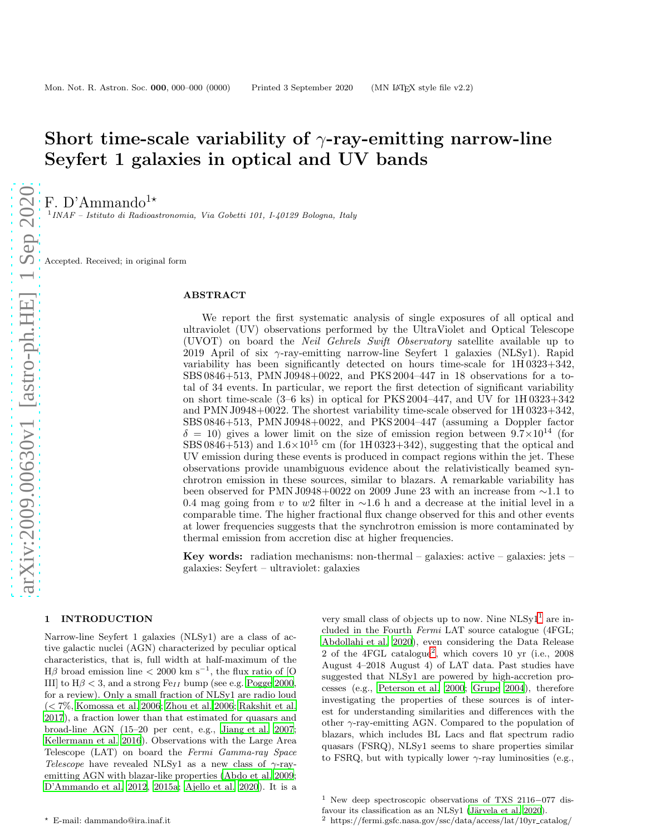# Short time-scale variability of  $\gamma$ -ray-emitting narrow-line Seyfert 1 galaxies in optical and UV bands

F. D'Ammando<sup>1\*</sup>

<sup>1</sup> INAF - Istituto di Radioastronomia, Via Gobetti 101, I-40129 Bologna, Italy

Accepted. Received; in original form

#### ABSTRACT

We report the first systematic analysis of single exposures of all optical and ultraviolet (UV) observations performed by the UltraViolet and Optical Telescope (UVOT) on board the Neil Gehrels Swift Observatory satellite available up to 2019 April of six  $\gamma$ -ray-emitting narrow-line Seyfert 1 galaxies (NLSy1). Rapid variability has been significantly detected on hours time-scale for 1H 0323+342, SBS 0846+513, PMN J0948+0022, and PKS 2004–447 in 18 observations for a total of 34 events. In particular, we report the first detection of significant variability on short time-scale (3–6 ks) in optical for PKS 2004–447, and UV for 1H 0323+342 and PMN J0948+0022. The shortest variability time-scale observed for 1H 0323+342, SBS 0846+513, PMN J0948+0022, and PKS 2004–447 (assuming a Doppler factor  $\delta = 10$ ) gives a lower limit on the size of emission region between  $9.7 \times 10^{14}$  (for SBS 0846+513) and  $1.6\times10^{15}$  cm (for 1H 0323+342), suggesting that the optical and UV emission during these events is produced in compact regions within the jet. These observations provide unambiguous evidence about the relativistically beamed synchrotron emission in these sources, similar to blazars. A remarkable variability has been observed for PMN J0948+0022 on 2009 June 23 with an increase from ∼1.1 to 0.4 mag going from v to w2 filter in  $\sim$ 1.6 h and a decrease at the initial level in a comparable time. The higher fractional flux change observed for this and other events at lower frequencies suggests that the synchrotron emission is more contaminated by thermal emission from accretion disc at higher frequencies.

Key words: radiation mechanisms: non-thermal – galaxies: active – galaxies: jets – galaxies: Seyfert – ultraviolet: galaxies

#### 1 INTRODUCTION

Narrow-line Seyfert 1 galaxies (NLSy1) are a class of active galactic nuclei (AGN) characterized by peculiar optical characteristics, that is, full width at half-maximum of the  $H\beta$  broad emission line < 2000 km s<sup>-1</sup>, the flux ratio of [O III] to  $H\beta < 3$ , and a strong Fe<sub>II</sub> bump (see e.g. [Pogge 2000,](#page-10-0) for a review). Only a small fraction of NLSy1 are radio loud (< 7%, [Komossa et al. 2006](#page-10-1); [Zhou et al. 2006;](#page-10-2) [Rakshit et al.](#page-10-3) [2017](#page-10-3)), a fraction lower than that estimated for quasars and broad-line AGN (15–20 per cent, e.g., [Jiang et al. 2007;](#page-10-4) [Kellermann et al. 2016](#page-10-5)). Observations with the Large Area Telescope (LAT) on board the Fermi Gamma-ray Space Telescope have revealed NLSy1 as a new class of  $\gamma$ -rayemitting AGN with blazar-like properties [\(Abdo et al. 2009;](#page-10-6) [D'Ammando et al. 2012](#page-10-7), [2015a](#page-10-8); [Ajello et al. 2020](#page-10-9)). It is a

very small class of objects up to now. Nine  $NLSy1<sup>1</sup>$  $NLSy1<sup>1</sup>$  $NLSy1<sup>1</sup>$  are included in the Fourth Fermi LAT source catalogue (4FGL; [Abdollahi et al. 2020\)](#page-10-10), even considering the Data Release 2 of the 4FGL catalogue[2](#page-0-1) , which covers 10 yr (i.e., 2008 August 4–2018 August 4) of LAT data. Past studies have suggested that NLSy1 are powered by high-accretion processes (e.g., [Peterson et al. 2000](#page-10-11); [Grupe 2004](#page-10-12)), therefore investigating the properties of these sources is of interest for understanding similarities and differences with the other  $\gamma$ -ray-emitting AGN. Compared to the population of blazars, which includes BL Lacs and flat spectrum radio quasars (FSRQ), NLSy1 seems to share properties similar to FSRQ, but with typically lower  $\gamma$ -ray luminosities (e.g.,

<span id="page-0-0"></span><sup>1</sup> New deep spectroscopic observations of TXS 2116−077 disfavour its classification as an NLSy1 (Järvela et al. 2020).

<sup>⋆</sup> E-mail: dammando@ira.inaf.it

<span id="page-0-1"></span><sup>2</sup> https://fermi.gsfc.nasa.gov/ssc/data/access/lat/10yr catalog/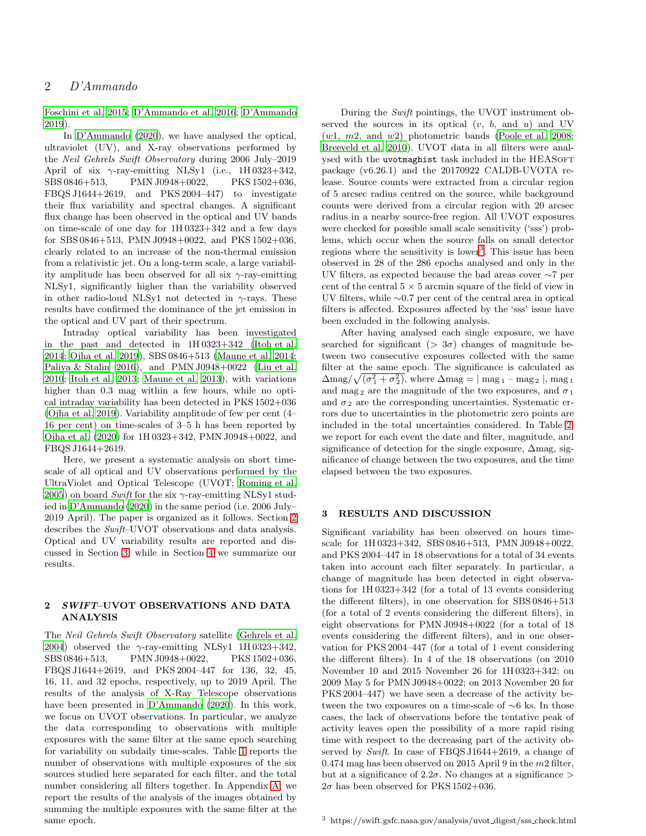[Foschini et al. 2015](#page-10-14); [D'Ammando et al. 2016](#page-10-15); [D'Ammando](#page-10-16) [2019](#page-10-16)).

In [D'Ammando \(2020\)](#page-10-17), we have analysed the optical, ultraviolet (UV), and X-ray observations performed by the Neil Gehrels Swift Observatory during 2006 July–2019 April of six  $\gamma$ -ray-emitting NLSy1 (i.e., 1H0323+342, SBS 0846+513, PMN J0948+0022, PKS 1502+036, FBQS J1644+2619, and PKS 2004–447) to investigate their flux variability and spectral changes. A significant flux change has been observed in the optical and UV bands on time-scale of one day for 1H 0323+342 and a few days for SBS 0846+513, PMN J0948+0022, and PKS 1502+036, clearly related to an increase of the non-thermal emission from a relativistic jet. On a long-term scale, a large variability amplitude has been observed for all six  $\gamma$ -ray-emitting NLSy1, significantly higher than the variability observed in other radio-loud NLSy1 not detected in  $\gamma$ -rays. These results have confirmed the dominance of the jet emission in the optical and UV part of their spectrum.

Intraday optical variability has been investigated in the past and detected in 1H 0323+342 [\(Itoh et al.](#page-10-18) [2014](#page-10-18); [Ojha et al. 2019](#page-10-19)), SBS 0846+513 [\(Maune et al. 2014;](#page-10-20) [Paliya & Stalin 2016\)](#page-10-21), and PMN J0948+0022 [\(Liu et al.](#page-10-22) [2010](#page-10-22); [Itoh et al. 2013;](#page-10-23) [Maune et al. 2013\)](#page-10-24), with variations higher than 0.3 mag within a few hours, while no optical intraday variability has been detected in PKS 1502+036 [\(Ojha et al. 2019](#page-10-19)). Variability amplitude of few per cent (4– 16 per cent) on time-scales of 3–5 h has been reported by [Ojha et al. \(2020](#page-10-25)) for 1H 0323+342, PMN J0948+0022, and FBQS J1644+2619.

Here, we present a systematic analysis on short timescale of all optical and UV observations performed by the UltraViolet and Optical Telescope (UVOT; [Roming et al.](#page-10-26) [2005](#page-10-26)) on board Swift for the six  $\gamma$ -ray-emitting NLSy1 studied in [D'Ammando \(2020](#page-10-17)) in the same period (i.e. 2006 July– 2019 April). The paper is organized as it follows. Section [2](#page-1-0) describes the Swift–UVOT observations and data analysis. Optical and UV variability results are reported and discussed in Section [3,](#page-1-1) while in Section [4](#page-9-0) we summarize our results.

#### <span id="page-1-0"></span>2 SWIFT–UVOT OBSERVATIONS AND DATA ANALYSIS

The Neil Gehrels Swift Observatory satellite [\(Gehrels et al.](#page-10-27) [2004](#page-10-27)) observed the  $\gamma$ -ray-emitting NLSy1 1H 0323+342, SBS 0846+513, PMN J0948+0022, PKS 1502+036, FBQS J1644+2619, and PKS 2004–447 for 136, 32, 45, 16, 11, and 32 epochs, respectively, up to 2019 April. The results of the analysis of X-Ray Telescope observations have been presented in [D'Ammando \(2020\)](#page-10-17). In this work, we focus on UVOT observations. In particular, we analyze the data corresponding to observations with multiple exposures with the same filter at the same epoch searching for variability on subdaily time-scales. Table [1](#page-4-0) reports the number of observations with multiple exposures of the six sources studied here separated for each filter, and the total number considering all filters together. In Appendix [A,](#page-11-0) we report the results of the analysis of the images obtained by summing the multiple exposures with the same filter at the same epoch.

During the Swift pointings, the UVOT instrument observed the sources in its optical  $(v, b, \text{ and } u)$  and UV  $(w1, m2, \text{ and } w2)$  photometric bands [\(Poole et al. 2008](#page-10-28); [Breeveld et al. 2010\)](#page-10-29). UVOT data in all filters were analysed with the uvotmaghist task included in the HEASOFT package (v6.26.1) and the 20170922 CALDB-UVOTA release. Source counts were extracted from a circular region of 5 arcsec radius centred on the source, while background counts were derived from a circular region with 20 arcsec radius in a nearby source-free region. All UVOT exposures were checked for possible small scale sensitivity ('sss') problems, which occur when the source falls on small detector regions where the sensitivity is lower<sup>[3](#page-1-2)</sup>. This issue has been observed in 28 of the 286 epochs analysed and only in the UV filters, as expected because the bad areas cover ∼7 per cent of the central  $5 \times 5$  arcmin square of the field of view in UV filters, while ∼0.7 per cent of the central area in optical filters is affected. Exposures affected by the 'sss' issue have been excluded in the following analysis.

After having analysed each single exposure, we have searched for significant ( $> 3\sigma$ ) changes of magnitude between two consecutive exposures collected with the same filter at the same epoch. The significance is calculated as  $\Delta$ mag $/\sqrt{(\sigma_1^2 + \sigma_2^2)}$ , where  $\Delta$ mag = | mag <sub>1</sub> – mag <sub>2</sub> |, mag <sub>1</sub> and mag<sub>2</sub> are the magnitude of the two exposures, and  $\sigma_1$ and  $\sigma_2$  are the corresponding uncertainties. Systematic errors due to uncertainties in the photometric zero points are included in the total uncertainties considered. In Table [2,](#page-6-0) we report for each event the date and filter, magnitude, and significance of detection for the single exposure, ∆mag, significance of change between the two exposures, and the time elapsed between the two exposures.

#### <span id="page-1-1"></span>3 RESULTS AND DISCUSSION

<span id="page-1-2"></span>Significant variability has been observed on hours timescale for 1H 0323+342, SBS 0846+513, PMN J0948+0022, and PKS 2004–447 in 18 observations for a total of 34 events taken into account each filter separately. In particular, a change of magnitude has been detected in eight observations for 1H 0323+342 (for a total of 13 events considering the different filters), in one observation for SBS 0846+513 (for a total of 2 events considering the different filters), in eight observations for PMN J0948+0022 (for a total of 18 events considering the different filters), and in one observation for PKS 2004–447 (for a total of 1 event considering the different filters). In 4 of the 18 observations (on 2010 November 10 and 2015 November 26 for 1H 0323+342; on 2009 May 5 for PMN J0948+0022; on 2013 November 20 for PKS 2004–447) we have seen a decrease of the activity between the two exposures on a time-scale of ∼6 ks. In those cases, the lack of observations before the tentative peak of activity leaves open the possibility of a more rapid rising time with respect to the decreasing part of the activity observed by Swift. In case of FBQS J1644+2619, a change of 0.474 mag has been observed on 2015 April 9 in the m2 filter, but at a significance of  $2.2\sigma$ . No changes at a significance  $>$  $2\sigma$  has been observed for PKS 1502+036.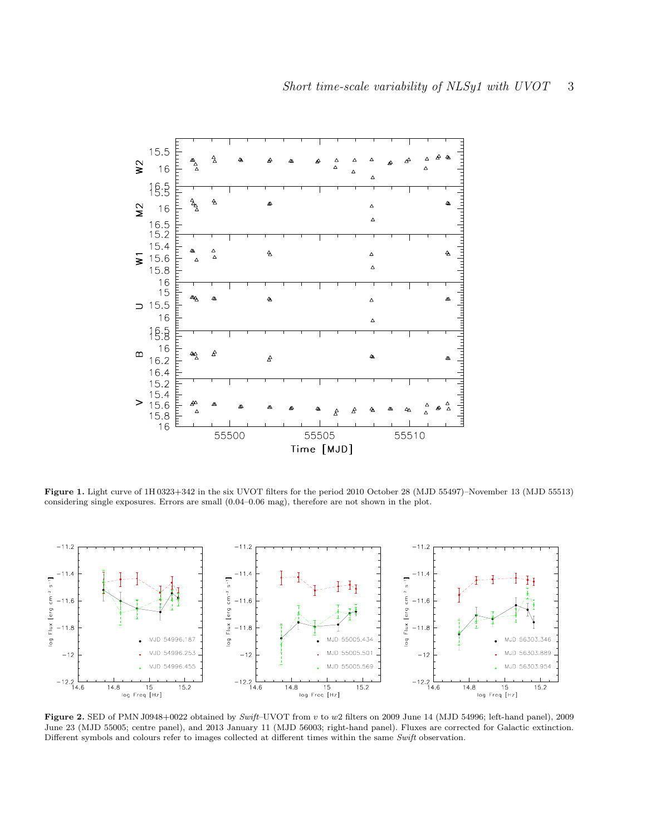

<span id="page-2-0"></span>Figure 1. Light curve of 1H 0323+342 in the six UVOT filters for the period 2010 October 28 (MJD 55497)–November 13 (MJD 55513) considering single exposures. Errors are small (0.04–0.06 mag), therefore are not shown in the plot.



<span id="page-2-1"></span>Figure 2. SED of PMN J0948+0022 obtained by Swift–UVOT from v to w2 filters on 2009 June 14 (MJD 54996; left-hand panel), 2009 June 23 (MJD 55005; centre panel), and 2013 January 11 (MJD 56003; right-hand panel). Fluxes are corrected for Galactic extinction. Different symbols and colours refer to images collected at different times within the same Swift observation.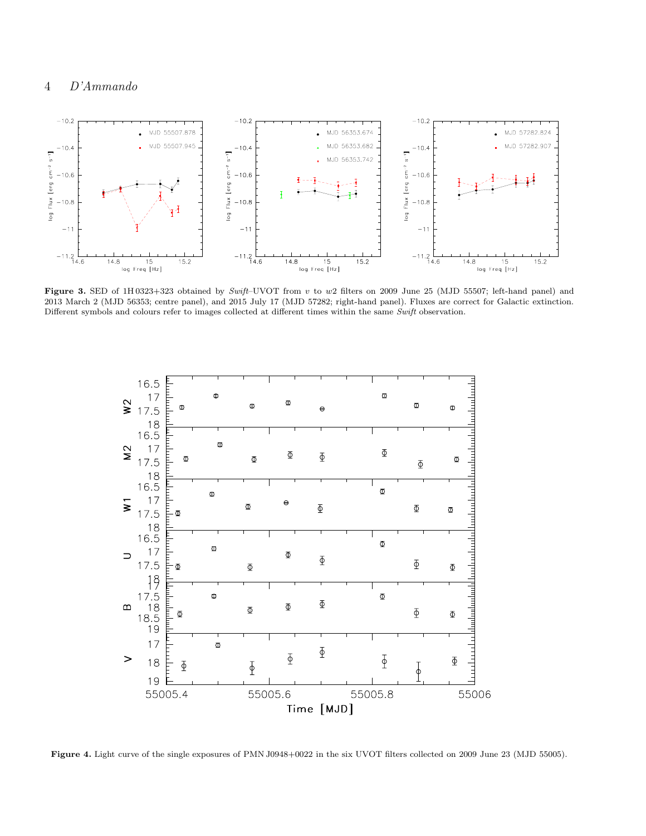

<span id="page-3-0"></span>Figure 3. SED of 1H0323+323 obtained by Swift-UVOT from v to w2 filters on 2009 June 25 (MJD 55507; left-hand panel) and 2013 March 2 (MJD 56353; centre panel), and 2015 July 17 (MJD 57282; right-hand panel). Fluxes are correct for Galactic extinction. Different symbols and colours refer to images collected at different times within the same Swift observation.



<span id="page-3-1"></span>Figure 4. Light curve of the single exposures of PMN J0948+0022 in the six UVOT filters collected on 2009 June 23 (MJD 55005).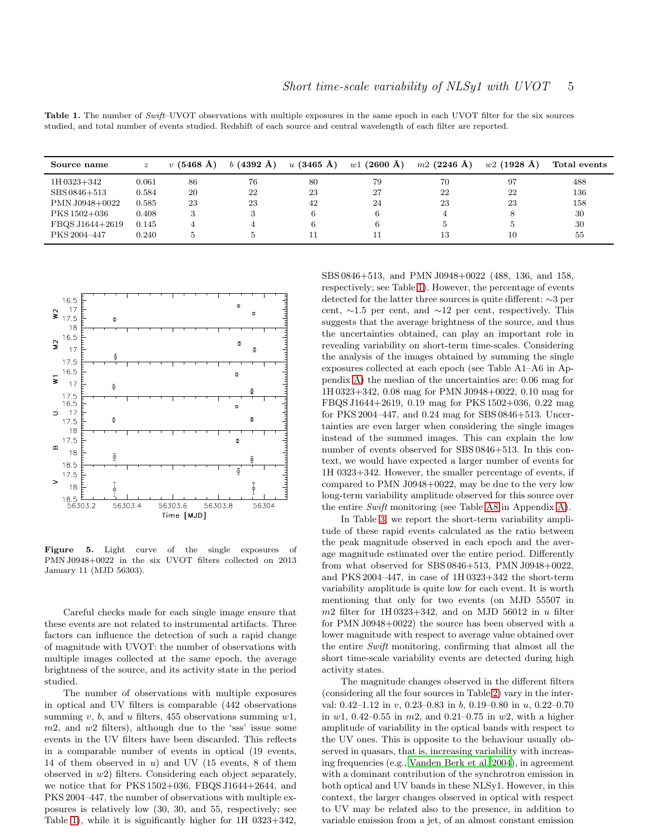<span id="page-4-0"></span>Table 1. The number of Swift–UVOT observations with multiple exposures in the same epoch in each UVOT filter for the six sources studied, and total number of events studied. Redshift of each source and central wavelength of each filter are reported.

| Source name     | $\boldsymbol{z}$ | $v(5468 \text{ Å})$ | b $(4392 \text{ Å})$ | $u(3465 \text{ Å})$ | $w1(2600~\text{\AA})$ | $m2(2246 \text{ Å})$ | $w2(1928 \text{ Å})$ | Total events |
|-----------------|------------------|---------------------|----------------------|---------------------|-----------------------|----------------------|----------------------|--------------|
| 1H 0323+342     | 0.061            | 86                  | 76                   | 80                  | 79                    | 70                   | 97                   | 488          |
| SBS 0846+513    | 0.584            | 20                  | 22                   | 23                  | 27                    | 22                   | 22                   | 136          |
| PMN J0948+0022  | 0.585            | 23                  | 23                   | 42                  | 24                    | 23                   | 23                   | 158          |
| PKS 1502+036    | 0.408            |                     |                      |                     | 6                     | 4                    | 8                    | 30           |
| FBQS J1644+2619 | 0.145            |                     |                      |                     | 6                     |                      |                      | 30           |
| PKS 2004-447    | 0.240            |                     |                      |                     |                       | 13                   |                      | 55           |



<span id="page-4-1"></span>Figure 5. Light curve of the single exposures of PMN J0948+0022 in the six UVOT filters collected on 2013 January 11 (MJD 56303).

Careful checks made for each single image ensure that these events are not related to instrumental artifacts. Three factors can influence the detection of such a rapid change of magnitude with UVOT: the number of observations with multiple images collected at the same epoch, the average brightness of the source, and its activity state in the period studied.

The number of observations with multiple exposures in optical and UV filters is comparable (442 observations summing v, b, and u filters, 455 observations summing  $w1$ ,  $m2$ , and  $w2$  filters), although due to the 'sss' issue some events in the UV filters have been discarded. This reflects in a comparable number of events in optical (19 events, 14 of them observed in  $u$ ) and UV (15 events, 8 of them observed in w2) filters. Considering each object separately, we notice that for PKS 1502+036, FBQS J1644+2644, and PKS 2004–447, the number of observations with multiple exposures is relatively low (30, 30, and 55, respectively; see Table [1\)](#page-4-0), while it is significantly higher for 1H 0323+342,

SBS 0846+513, and PMN J0948+0022 (488, 136, and 158, respectively; see Table [1\)](#page-4-0). However, the percentage of events detected for the latter three sources is quite different: ∼3 per cent, ∼1.5 per cent, and ∼12 per cent, respectively. This suggests that the average brightness of the source, and thus the uncertainties obtained, can play an important role in revealing variability on short-term time-scales. Considering the analysis of the images obtained by summing the single exposures collected at each epoch (see Table A1–A6 in Appendix [A\)](#page-11-0) the median of the uncertainties are: 0.06 mag for 1H 0323+342, 0.08 mag for PMN J0948+0022, 0.10 mag for FBQS J1644+2619, 0.19 mag for PKS 1502+036, 0.22 mag for PKS 2004–447, and 0.24 mag for SBS 0846+513. Uncertainties are even larger when considering the single images instead of the summed images. This can explain the low number of events observed for SBS 0846+513. In this context, we would have expected a larger number of events for 1H 0323+342. However, the smaller percentage of events, if compared to PMN J0948+0022, may be due to the very low long-term variability amplitude observed for this source over the entire Swift monitoring (see Table [A8](#page-17-0) in Appendix [A\)](#page-11-0).

In Table [3,](#page-7-0) we report the short-term variability amplitude of these rapid events calculated as the ratio between the peak magnitude observed in each epoch and the average magnitude estimated over the entire period. Differently from what observed for SBS 0846+513, PMN J0948+0022, and PKS 2004–447, in case of 1H 0323+342 the short-term variability amplitude is quite low for each event. It is worth mentioning that only for two events (on MJD 55507 in  $m2$  filter for 1H 0323+342, and on MJD 56012 in u filter for PMN J0948+0022) the source has been observed with a lower magnitude with respect to average value obtained over the entire Swift monitoring, confirming that almost all the short time-scale variability events are detected during high activity states.

The magnitude changes observed in the different filters (considering all the four sources in Table [2\)](#page-6-0) vary in the interval: 0.42–1.12 in v, 0.23–0.83 in b, 0.19–0.80 in u, 0.22–0.70 in w1, 0.42–0.55 in  $m2$ , and 0.21–0.75 in w2, with a higher amplitude of variability in the optical bands with respect to the UV ones. This is opposite to the behaviour usually observed in quasars, that is, increasing variability with increasing frequencies (e.g., [Vanden Berk et al. 2004\)](#page-10-30), in agreement with a dominant contribution of the synchrotron emission in both optical and UV bands in these NLSy1. However, in this context, the larger changes observed in optical with respect to UV may be related also to the presence, in addition to variable emission from a jet, of an almost constant emission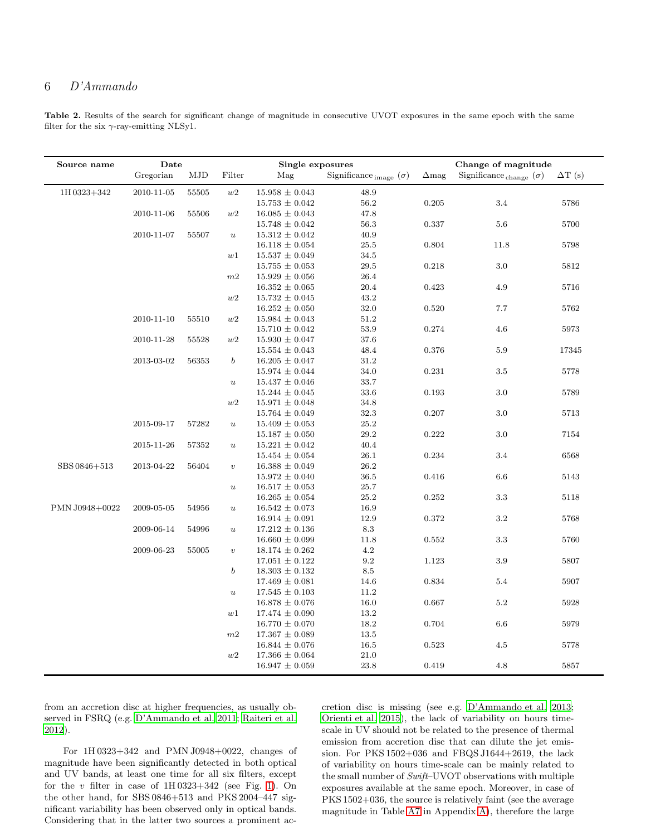| Table 2. Results of the search for significant change of magnitude in consecutive UVOT exposures in the same epoch with the same |  |  |  |  |
|----------------------------------------------------------------------------------------------------------------------------------|--|--|--|--|
| filter for the six $\gamma$ -ray-emitting NLSy1.                                                                                 |  |  |  |  |

| Source name    | Date       |       |                  | Single exposures   |                               |              | Change of magnitude            |                |
|----------------|------------|-------|------------------|--------------------|-------------------------------|--------------|--------------------------------|----------------|
|                | Gregorian  | MJD   | Filter           | Mag                | Significance image $(\sigma)$ | $\Delta$ mag | Significance change $(\sigma)$ | $\Delta T$ (s) |
|                |            |       |                  |                    |                               |              |                                |                |
| 1H 0323+342    | 2010-11-05 | 55505 | w2               | $15.958 \pm 0.043$ | 48.9                          |              |                                |                |
|                |            |       |                  | $15.753 \pm 0.042$ | 56.2                          | 0.205        | 3.4                            | 5786           |
|                | 2010-11-06 | 55506 | $w2$             | $16.085 \pm 0.043$ | 47.8                          |              |                                |                |
|                |            |       |                  | $15.748 \pm 0.042$ | 56.3                          | 0.337        | 5.6                            | 5700           |
|                | 2010-11-07 | 55507 | $\boldsymbol{u}$ | $15.312 \pm 0.042$ | 40.9                          |              |                                |                |
|                |            |       |                  | $16.118 \pm 0.054$ | 25.5                          | 0.804        | 11.8                           | 5798           |
|                |            |       | w1               | $15.537 \pm 0.049$ | 34.5                          |              |                                |                |
|                |            |       |                  | $15.755 \pm 0.053$ | 29.5                          | 0.218        | $3.0\,$                        | 5812           |
|                |            |       | $m2\,$           | $15.929 \pm 0.056$ | 26.4                          |              |                                |                |
|                |            |       |                  | $16.352 \pm 0.065$ | 20.4                          | 0.423        | 4.9                            | 5716           |
|                |            |       | $w2$             | $15.732 \pm 0.045$ | 43.2                          |              |                                |                |
|                |            |       |                  | $16.252 \pm 0.050$ | 32.0                          | 0.520        | 7.7                            | 5762           |
|                | 2010-11-10 | 55510 | w2               | $15.984 \pm 0.043$ | 51.2                          |              |                                |                |
|                |            |       |                  | $15.710 \pm 0.042$ | 53.9                          | 0.274        | 4.6                            | 5973           |
|                | 2010-11-28 | 55528 | w2               | $15.930 \pm 0.047$ | 37.6                          |              |                                |                |
|                |            |       |                  | $15.554 \pm 0.043$ | 48.4                          | 0.376        | $5.9\,$                        | 17345          |
|                | 2013-03-02 | 56353 | $\boldsymbol{b}$ | $16.205 \pm 0.047$ | 31.2                          |              |                                |                |
|                |            |       |                  | $15.974 \pm 0.044$ | 34.0                          | 0.231        | $3.5\,$                        | 5778           |
|                |            |       | $\boldsymbol{u}$ | $15.437 \pm 0.046$ | 33.7                          |              |                                |                |
|                |            |       |                  | $15.244 \pm 0.045$ | 33.6                          | 0.193        | 3.0                            | 5789           |
|                |            |       | w2               | $15.971 \pm 0.048$ | 34.8                          |              |                                |                |
|                |            |       |                  | $15.764 \pm 0.049$ | 32.3                          | 0.207        | $3.0\,$                        | 5713           |
|                | 2015-09-17 | 57282 | $\boldsymbol{u}$ | $15.409 \pm 0.053$ | 25.2                          |              |                                |                |
|                |            |       |                  | $15.187 \pm 0.050$ | 29.2                          | 0.222        | $3.0\,$                        | 7154           |
|                | 2015-11-26 | 57352 | $\boldsymbol{u}$ | $15.221 \pm 0.042$ | 40.4                          |              |                                |                |
|                |            |       |                  | $15.454 \pm 0.054$ | 26.1                          | 0.234        | 3.4                            | 6568           |
| SBS 0846+513   | 2013-04-22 | 56404 | $\upsilon$       | $16.388 \pm 0.049$ | 26.2                          |              |                                |                |
|                |            |       |                  | $15.972 \pm 0.040$ | 36.5                          | 0.416        | 6.6                            | 5143           |
|                |            |       | $\boldsymbol{u}$ | $16.517 \pm 0.053$ | 25.7                          |              |                                |                |
|                |            |       |                  | $16.265 \pm 0.054$ | 25.2                          | 0.252        | 3.3                            | 5118           |
| PMN J0948+0022 | 2009-05-05 | 54956 | $\boldsymbol{u}$ | $16.542 \pm 0.073$ | 16.9                          |              |                                |                |
|                |            |       |                  | $16.914 \pm 0.091$ | 12.9                          | 0.372        | 3.2                            | 5768           |
|                | 2009-06-14 | 54996 | $\boldsymbol{u}$ | $17.212 \pm 0.136$ | 8.3                           |              |                                |                |
|                |            |       |                  | $16.660 \pm 0.099$ | 11.8                          | 0.552        | 3.3                            | 5760           |
|                | 2009-06-23 | 55005 | $\boldsymbol{v}$ | $18.174 \pm 0.262$ | 4.2                           |              |                                |                |
|                |            |       |                  | $17.051 \pm 0.122$ | 9.2                           | 1.123        | $3.9\,$                        | 5807           |
|                |            |       | $\boldsymbol{b}$ | $18.303 \pm 0.132$ | 8.5                           |              |                                |                |
|                |            |       |                  | $17.469 \pm 0.081$ | 14.6                          | 0.834        | 5.4                            | 5907           |
|                |            |       | $\boldsymbol{u}$ | $17.545 \pm 0.103$ | 11.2                          |              |                                |                |
|                |            |       |                  | $16.878 \pm 0.076$ | 16.0                          | 0.667        | $5.2\,$                        | 5928           |
|                |            |       | w1               | $17.474 \pm 0.090$ | 13.2                          |              |                                |                |
|                |            |       |                  | $16.770 \pm 0.070$ | 18.2                          | 0.704        | 6.6                            | 5979           |
|                |            |       | m2               | $17.367 \pm 0.089$ | 13.5                          |              |                                |                |
|                |            |       |                  | $16.844 \pm 0.076$ | 16.5                          | 0.523        | 4.5                            | 5778           |
|                |            |       | w2               | $17.366 \pm 0.064$ | $21.0\,$                      |              |                                |                |
|                |            |       |                  | $16.947 \pm 0.059$ | 23.8                          | 0.419        | 4.8                            | 5857           |

from an accretion disc at higher frequencies, as usually observed in FSRQ (e.g. [D'Ammando et al. 2011](#page-10-31); [Raiteri et al.](#page-10-32) [2012](#page-10-32)).

For 1H 0323+342 and PMN J0948+0022, changes of magnitude have been significantly detected in both optical and UV bands, at least one time for all six filters, except for the v filter in case of  $1H\,0323+342$  (see Fig. [1\)](#page-2-0). On the other hand, for SBS 0846+513 and PKS 2004–447 significant variability has been observed only in optical bands. Considering that in the latter two sources a prominent accretion disc is missing (see e.g. [D'Ammando et al. 2013](#page-10-33); [Orienti et al. 2015](#page-10-34)), the lack of variability on hours timescale in UV should not be related to the presence of thermal emission from accretion disc that can dilute the jet emission. For PKS 1502+036 and FBQS J1644+2619, the lack of variability on hours time-scale can be mainly related to the small number of Swift–UVOT observations with multiple exposures available at the same epoch. Moreover, in case of PKS 1502+036, the source is relatively faint (see the average magnitude in Table [A7](#page-17-1) in Appendix [A\)](#page-11-0), therefore the large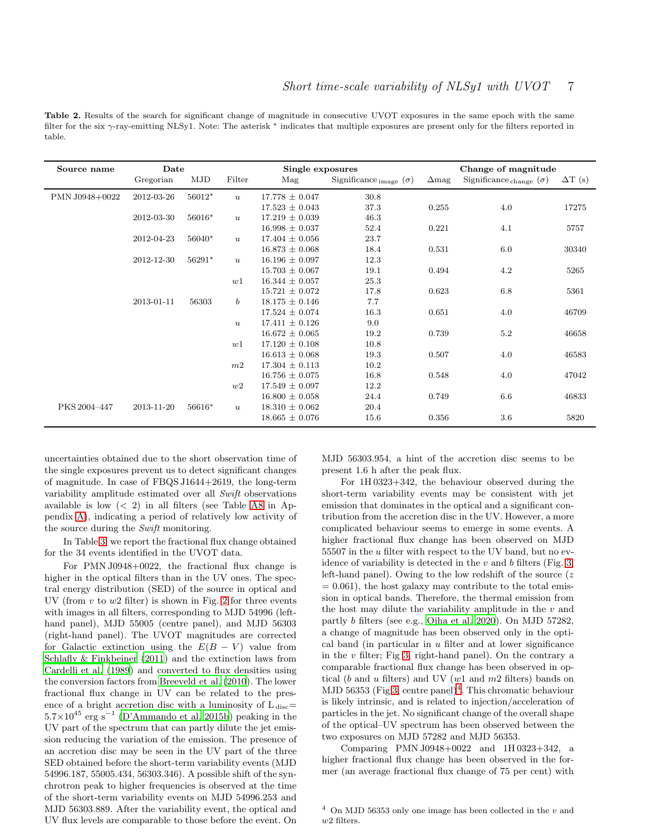<span id="page-6-0"></span>Table 2. Results of the search for significant change of magnitude in consecutive UVOT exposures in the same epoch with the same filter for the six γ-ray-emitting NLSy1. Note: The asterisk <sup>∗</sup> indicates that multiple exposures are present only for the filters reported in table.

| Source name    | Date       |          |                  | Single exposures   |                               |              | Change of magnitude            |                |
|----------------|------------|----------|------------------|--------------------|-------------------------------|--------------|--------------------------------|----------------|
|                | Gregorian  | MJD      | Filter           | Mag                | Significance image $(\sigma)$ | $\Delta$ mag | Significance change $(\sigma)$ | $\Delta T$ (s) |
| PMN J0948+0022 | 2012-03-26 | 56012*   | $\boldsymbol{u}$ | $17.778 \pm 0.047$ | 30.8                          |              |                                |                |
|                |            |          |                  | $17.523 \pm 0.043$ | 37.3                          | 0.255        | 4.0                            | 17275          |
|                | 2012-03-30 | 56016*   | $\boldsymbol{u}$ | $17.219 \pm 0.039$ | 46.3                          |              |                                |                |
|                |            |          |                  | $16.998 \pm 0.037$ | 52.4                          | 0.221        | 4.1                            | 5757           |
|                | 2012-04-23 | $56040*$ | $\boldsymbol{u}$ | $17.404 \pm 0.056$ | 23.7                          |              |                                |                |
|                |            |          |                  | $16.873 \pm 0.068$ | 18.4                          | 0.531        | 6.0                            | 30340          |
|                | 2012-12-30 | 56291*   | $\boldsymbol{u}$ | $16.196 \pm 0.097$ | 12.3                          |              |                                |                |
|                |            |          |                  | $15.703 \pm 0.067$ | 19.1                          | 0.494        | 4.2                            | 5265           |
|                |            |          | w1               | $16.344 \pm 0.057$ | 25.3                          |              |                                |                |
|                |            |          |                  | $15.721 \pm 0.072$ | 17.8                          | 0.623        | 6.8                            | 5361           |
|                | 2013-01-11 | 56303    | $\boldsymbol{b}$ | $18.175 \pm 0.146$ | 7.7                           |              |                                |                |
|                |            |          |                  | $17.524 \pm 0.074$ | 16.3                          | 0.651        | 4.0                            | 46709          |
|                |            |          | $\boldsymbol{u}$ | $17.411 \pm 0.126$ | 9.0                           |              |                                |                |
|                |            |          |                  | $16.672 \pm 0.065$ | 19.2                          | 0.739        | 5.2                            | 46658          |
|                |            |          | w1               | $17.120 \pm 0.108$ | 10.8                          |              |                                |                |
|                |            |          |                  | $16.613 \pm 0.068$ | 19.3                          | 0.507        | 4.0                            | 46583          |
|                |            |          | m <sub>2</sub>   | $17.304 \pm 0.113$ | 10.2                          |              |                                |                |
|                |            |          |                  | $16.756 \pm 0.075$ | 16.8                          | 0.548        | 4.0                            | 47042          |
|                |            |          | w2               | $17.549 \pm 0.097$ | 12.2                          |              |                                |                |
|                |            |          |                  | $16.800 \pm 0.058$ | 24.4                          | 0.749        | 6.6                            | 46833          |
| PKS 2004-447   | 2013-11-20 | $56616*$ | $\boldsymbol{u}$ | $18.310 \pm 0.062$ | 20.4                          |              |                                |                |
|                |            |          |                  | $18.665 \pm 0.076$ | 15.6                          | 0.356        | 3.6                            | 5820           |
|                |            |          |                  |                    |                               |              |                                |                |

uncertainties obtained due to the short observation time of the single exposures prevent us to detect significant changes of magnitude. In case of FBQS J1644+2619, the long-term variability amplitude estimated over all Swift observations available is low  $(< 2)$  in all filters (see Table [A8](#page-17-0) in Appendix [A\)](#page-11-0), indicating a period of relatively low activity of the source during the Swift monitoring.

In Table [3,](#page-7-0) we report the fractional flux change obtained for the 34 events identified in the UVOT data.

For PMN J0948+0022, the fractional flux change is higher in the optical filters than in the UV ones. The spectral energy distribution (SED) of the source in optical and UV (from  $v$  to  $w2$  filter) is shown in Fig. [2](#page-2-1) for three events with images in all filters, corresponding to MJD 54996 (lefthand panel), MJD 55005 (centre panel), and MJD 56303 (right-hand panel). The UVOT magnitudes are corrected for Galactic extinction using the  $E(B - V)$  value from [Schlafly & Finkbeiner \(2011\)](#page-10-35) and the extinction laws from [Cardelli et al. \(1989](#page-10-36)) and converted to flux densities using the conversion factors from [Breeveld et al. \(2010\)](#page-10-29). The lower fractional flux change in UV can be related to the presence of a bright accretion disc with a luminosity of  $L_{disc}$  $5.7\times10^{45}$  erg s<sup>-1</sup> [\(D'Ammando et al. 2015b](#page-10-37)) peaking in the UV part of the spectrum that can partly dilute the jet emission reducing the variation of the emission. The presence of an accretion disc may be seen in the UV part of the three SED obtained before the short-term variability events (MJD 54996.187, 55005.434, 56303.346). A possible shift of the synchrotron peak to higher frequencies is observed at the time of the short-term variability events on MJD 54996.253 and MJD 56303.889. After the variability event, the optical and UV flux levels are comparable to those before the event. On MJD 56303.954, a hint of the accretion disc seems to be present 1.6 h after the peak flux.

For 1H 0323+342, the behaviour observed during the short-term variability events may be consistent with jet emission that dominates in the optical and a significant contribution from the accretion disc in the UV. However, a more complicated behaviour seems to emerge in some events. A higher fractional flux change has been observed on MJD 55507 in the  $u$  filter with respect to the UV band, but no evidence of variability is detected in the  $v$  and  $b$  filters (Fig. [3,](#page-3-0) left-hand panel). Owing to the low redshift of the source  $(z)$  $= 0.061$ , the host galaxy may contribute to the total emission in optical bands. Therefore, the thermal emission from the host may dilute the variability amplitude in the  $v$  and partly b filters (see e.g., [Ojha et al. 2020\)](#page-10-25). On MJD 57282, a change of magnitude has been observed only in the optical band (in particular in  $u$  filter and at lower significance in the  $v$  filter; Fig [3,](#page-3-0) right-hand panel). On the contrary a comparable fractional flux change has been observed in optical ( $b$  and  $u$  filters) and UV ( $w1$  and  $m2$  filters) bands on MJD 56353 (Fig [3,](#page-3-0) centre panel)<sup>[4](#page-6-1)</sup>. This chromatic behaviour is likely intrinsic, and is related to injection/acceleration of particles in the jet. No significant change of the overall shape of the optical–UV spectrum has been observed between the two exposures on MJD 57282 and MJD 56353.

Comparing PMN J0948+0022 and 1H 0323+342, a higher fractional flux change has been observed in the former (an average fractional flux change of 75 per cent) with

<span id="page-6-1"></span> $4$  On MJD 56353 only one image has been collected in the  $v$  and w2 filters.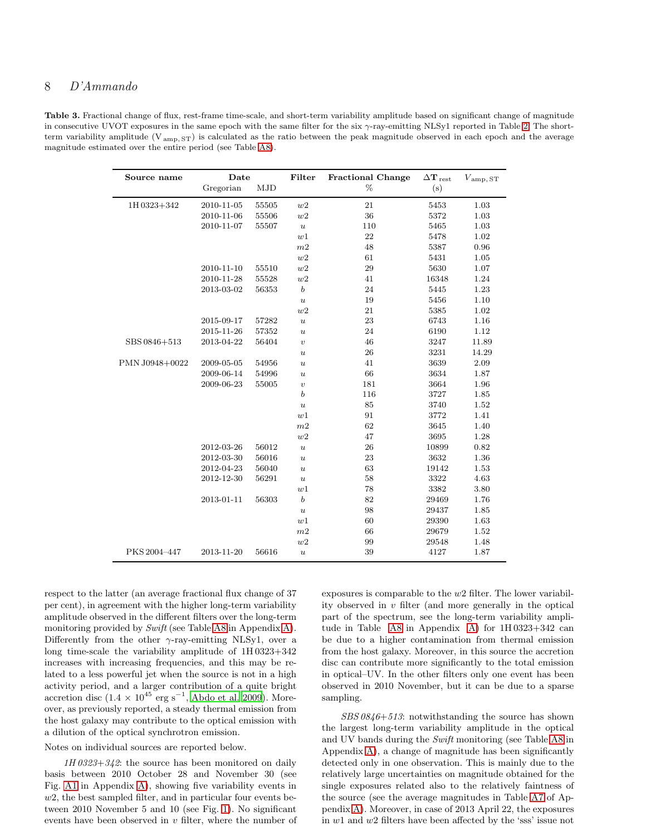<span id="page-7-0"></span>Table 3. Fractional change of flux, rest-frame time-scale, and short-term variability amplitude based on significant change of magnitude in consecutive UVOT exposures in the same epoch with the same filter for the six  $\gamma$ -ray-emitting NLSy1 reported in Table [2.](#page-6-0) The shortterm variability amplitude  $(V_{amp,ST})$  is calculated as the ratio between the peak magnitude observed in each epoch and the average magnitude estimated over the entire period (see Table [A8\)](#page-17-0).

| Source name    | Date                       |            | Filter             | <b>Fractional Change</b> | $\Delta\mathbf{T}_{\text{rest}}$ | $V_\mathrm{amp,\,ST}$ |
|----------------|----------------------------|------------|--------------------|--------------------------|----------------------------------|-----------------------|
|                | $\operatorname{Gregorian}$ | <b>MJD</b> |                    | %                        | (s)                              |                       |
| 1H0323+342     | 2010-11-05                 | 55505      | w2                 | 21                       | 5453                             | 1.03                  |
|                | 2010-11-06                 | 55506      | $w\mathbf{2}$      | 36                       | 5372                             | 1.03                  |
|                | 2010-11-07                 | 55507      | $\boldsymbol{u}$   | 110                      | 5465                             | 1.03                  |
|                |                            |            | w1                 | 22                       | 5478                             | 1.02                  |
|                |                            |            | m2                 | 48                       | 5387                             | 0.96                  |
|                |                            |            | w2                 | 61                       | 5431                             | 1.05                  |
|                | 2010-11-10                 | 55510      | w2                 | 29                       | 5630                             | 1.07                  |
|                | 2010-11-28                 | $55528\,$  | $w\mathbf{2}$      | 41                       | 16348                            | 1.24                  |
|                | 2013-03-02                 | 56353      | $\boldsymbol{b}$   | 24                       | 5445                             | 1.23                  |
|                |                            |            | $\boldsymbol{u}$   | 19                       | 5456                             | 1.10                  |
|                |                            |            | $w\hspace{0.5pt}2$ | 21                       | 5385                             | 1.02                  |
|                | 2015-09-17                 | 57282      | $\boldsymbol{u}$   | 23                       | 6743                             | 1.16                  |
|                | 2015-11-26                 | 57352      | $\boldsymbol{u}$   | 24                       | 6190                             | 1.12                  |
| SBS 0846+513   | 2013-04-22                 | 56404      | $\upsilon$         | 46                       | 3247                             | 11.89                 |
|                |                            |            | $\boldsymbol{u}$   | 26                       | 3231                             | 14.29                 |
| PMN J0948+0022 | 2009-05-05                 | 54956      | $\boldsymbol{u}$   | 41                       | 3639                             | 2.09                  |
|                | 2009-06-14                 | 54996      | $\boldsymbol{u}$   | 66                       | 3634                             | 1.87                  |
|                | 2009-06-23                 | 55005      | $\boldsymbol{v}$   | 181                      | 3664                             | 1.96                  |
|                |                            |            | $\boldsymbol{b}$   | 116                      | 3727                             | 1.85                  |
|                |                            |            | $\boldsymbol{u}$   | 85                       | 3740                             | 1.52                  |
|                |                            |            | w1                 | 91                       | 3772                             | 1.41                  |
|                |                            |            | m2                 | 62                       | 3645                             | 1.40                  |
|                |                            |            | w2                 | 47                       | 3695                             | 1.28                  |
|                | $2012 - 03 - 26$           | 56012      | $\boldsymbol{u}$   | 26                       | 10899                            | 0.82                  |
|                | 2012-03-30                 | 56016      | $\boldsymbol{u}$   | 23                       | 3632                             | $1.36\,$              |
|                | 2012-04-23                 | 56040      | $\boldsymbol{u}$   | 63                       | 19142                            | 1.53                  |
|                | 2012-12-30                 | 56291      | $\boldsymbol{u}$   | 58                       | 3322                             | 4.63                  |
|                |                            |            | w1                 | 78                       | 3382                             | $3.80\,$              |
|                | 2013-01-11                 | 56303      | $\boldsymbol{b}$   | 82                       | 29469                            | 1.76                  |
|                |                            |            | $\boldsymbol{u}$   | 98                       | 29437                            | 1.85                  |
|                |                            |            | $w1$               | 60                       | 29390                            | 1.63                  |
|                |                            |            | m2                 | 66                       | 29679                            | 1.52                  |
|                |                            |            | $w2$               | 99                       | 29548                            | 1.48                  |
| PKS 2004-447   | 2013-11-20                 | 56616      | $\boldsymbol{u}$   | 39                       | 4127                             | 1.87                  |

respect to the latter (an average fractional flux change of 37 per cent), in agreement with the higher long-term variability amplitude observed in the different filters over the long-term monitoring provided by *Swift* (see Table [A8](#page-17-0) in Appendix [A\)](#page-11-0). Differently from the other  $\gamma$ -ray-emitting NLSy1, over a long time-scale the variability amplitude of 1H 0323+342 increases with increasing frequencies, and this may be related to a less powerful jet when the source is not in a high activity period, and a larger contribution of a quite bright accretion disc  $(1.4 \times 10^{45} \text{ erg s}^{-1}, \text{Abdo et al. } 2009)$ . Moreover, as previously reported, a steady thermal emission from the host galaxy may contribute to the optical emission with a dilution of the optical synchrotron emission.

Notes on individual sources are reported below.

 $1H\,0323+342$ : the source has been monitored on daily basis between 2010 October 28 and November 30 (see Fig. [A1](#page-18-0) in Appendix [A\)](#page-11-0), showing five variability events in  $w2$ , the best sampled filter, and in particular four events between 2010 November 5 and 10 (see Fig. [1\)](#page-2-0). No significant events have been observed in  $v$  filter, where the number of

exposures is comparable to the  $w2$  filter. The lower variability observed in  $v$  filter (and more generally in the optical part of the spectrum, see the long-term variability amplitude in Table [A8](#page-17-0) in Appendix [A\)](#page-11-0) for 1H 0323+342 can be due to a higher contamination from thermal emission from the host galaxy. Moreover, in this source the accretion disc can contribute more significantly to the total emission in optical–UV. In the other filters only one event has been observed in 2010 November, but it can be due to a sparse sampling.

 $SBS\,0846+513$ : notwithstanding the source has shown the largest long-term variability amplitude in the optical and UV bands during the Swift monitoring (see Table [A8](#page-17-0) in Appendix [A\)](#page-11-0), a change of magnitude has been significantly detected only in one observation. This is mainly due to the relatively large uncertainties on magnitude obtained for the single exposures related also to the relatively faintness of the source (see the average magnitudes in Table [A7](#page-17-1) of Appendix [A\)](#page-11-0). Moreover, in case of 2013 April 22, the exposures in w1 and w2 filters have been affected by the 'sss' issue not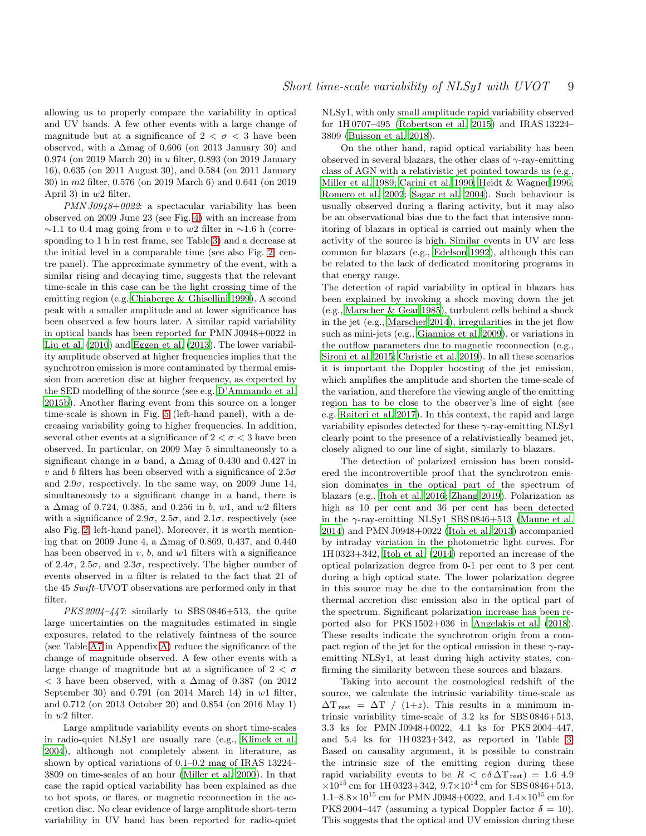allowing us to properly compare the variability in optical and UV bands. A few other events with a large change of magnitude but at a significance of  $2 < \sigma < 3$  have been observed, with a  $\Delta$ mag of 0.606 (on 2013 January 30) and 0.974 (on 2019 March 20) in u filter, 0.893 (on 2019 January 16), 0.635 (on 2011 August 30), and 0.584 (on 2011 January 30) in m2 filter, 0.576 (on 2019 March 6) and 0.641 (on 2019 April 3) in  $w2$  filter.

PMN J0948+0022: a spectacular variability has been observed on 2009 June 23 (see Fig. [4\)](#page-3-1) with an increase from  $\sim$ 1.1 to 0.4 mag going from v to w2 filter in  $\sim$ 1.6 h (corresponding to 1 h in rest frame, see Table [3\)](#page-7-0) and a decrease at the initial level in a comparable time (see also Fig. [2,](#page-2-1) centre panel). The approximate symmetry of the event, with a similar rising and decaying time, suggests that the relevant time-scale in this case can be the light crossing time of the emitting region (e.g. [Chiaberge & Ghisellini 1999](#page-10-38)). A second peak with a smaller amplitude and at lower significance has been observed a few hours later. A similar rapid variability in optical bands has been reported for PMN J0948+0022 in [Liu et al. \(2010](#page-10-22)) and [Eggen et al. \(2013](#page-10-39)). The lower variability amplitude observed at higher frequencies implies that the synchrotron emission is more contaminated by thermal emission from accretion disc at higher frequency, as expected by the SED modelling of the source (see e.g. [D'Ammando et al.](#page-10-37) [2015b\)](#page-10-37). Another flaring event from this source on a longer time-scale is shown in Fig. [5](#page-4-1) (left-hand panel), with a decreasing variability going to higher frequencies. In addition, several other events at a significance of  $2 < \sigma < 3$  have been observed. In particular, on 2009 May 5 simultaneously to a significant change in u band, a  $\Delta$ mag of 0.430 and 0.427 in v and b filters has been observed with a significance of  $2.5\sigma$ and  $2.9\sigma$ , respectively. In the same way, on 2009 June 14, simultaneously to a significant change in  $u$  band, there is a  $\Delta$ mag of 0.724, 0.385, and 0.256 in b, w1, and w2 filters with a significance of  $2.9\sigma$ ,  $2.5\sigma$ , and  $2.1\sigma$ , respectively (see also Fig. [2,](#page-2-1) left-hand panel). Moreover, it is worth mentioning that on 2009 June 4, a ∆mag of 0.869, 0.437, and 0.440 has been observed in  $v$ ,  $b$ , and  $w1$  filters with a significance of  $2.4\sigma$ ,  $2.5\sigma$ , and  $2.3\sigma$ , respectively. The higher number of events observed in u filter is related to the fact that 21 of the 45 Swift–UVOT observations are performed only in that filter.

 $PKS 2004-447$ : similarly to SBS 0846+513, the quite large uncertainties on the magnitudes estimated in single exposures, related to the relatively faintness of the source (see Table [A7](#page-17-1) in Appendix [A\)](#page-11-0) reduce the significance of the change of magnitude observed. A few other events with a large change of magnitude but at a significance of  $2 < \sigma$ < 3 have been observed, with a ∆mag of 0.387 (on 2012 September 30) and  $0.791$  (on 2014 March 14) in  $w1$  filter, and 0.712 (on 2013 October 20) and 0.854 (on 2016 May 1) in w2 filter.

Large amplitude variability events on short time-scales in radio-quiet NLSy1 are usually rare (e.g., [Klimek et al.](#page-10-40) [2004](#page-10-40)), although not completely absent in literature, as shown by optical variations of 0.1–0.2 mag of IRAS 13224– 3809 on time-scales of an hour [\(Miller et al. 2000\)](#page-10-41). In that case the rapid optical variability has been explained as due to hot spots, or flares, or magnetic reconnection in the accretion disc. No clear evidence of large amplitude short-term variability in UV band has been reported for radio-quiet NLSy1, with only small amplitude rapid variability observed for 1H 0707–495 [\(Robertson et al. 2015\)](#page-10-42) and IRAS 13224– 3809 [\(Buisson et al. 2018](#page-10-43)).

On the other hand, rapid optical variability has been observed in several blazars, the other class of  $\gamma$ -ray-emitting class of AGN with a relativistic jet pointed towards us (e.g., [Miller et al. 1989;](#page-10-44) [Carini et al. 1990;](#page-10-45) [Heidt & Wagner 1996](#page-10-46); [Romero et al. 2002](#page-10-47); [Sagar et al. 2004](#page-10-48)). Such behaviour is usually observed during a flaring activity, but it may also be an observational bias due to the fact that intensive monitoring of blazars in optical is carried out mainly when the activity of the source is high. Similar events in UV are less common for blazars (e.g., [Edelson 1992](#page-10-49)), although this can be related to the lack of dedicated monitoring programs in that energy range.

The detection of rapid variability in optical in blazars has been explained by invoking a shock moving down the jet (e.g., [Marscher & Gear 1985\)](#page-10-50), turbulent cells behind a shock in the jet (e.g., [Marscher 2014\)](#page-10-51), irregularities in the jet flow such as mini-jets (e.g., [Giannios et al. 2009\)](#page-10-52), or variations in the outflow parameters due to magnetic reconnection (e.g., [Sironi et al. 2015;](#page-10-53) [Christie et al. 2019](#page-10-54)). In all these scenarios it is important the Doppler boosting of the jet emission, which amplifies the amplitude and shorten the time-scale of the variation, and therefore the viewing angle of the emitting region has to be close to the observer's line of sight (see e.g. [Raiteri et al. 2017](#page-10-55)). In this context, the rapid and large variability episodes detected for these  $\gamma$ -ray-emitting NLSy1 clearly point to the presence of a relativistically beamed jet, closely aligned to our line of sight, similarly to blazars.

The detection of polarized emission has been considered the incontrovertible proof that the synchrotron emission dominates in the optical part of the spectrum of blazars (e.g., [Itoh et al. 2016;](#page-10-56) [Zhang 2019](#page-10-57)). Polarization as high as 10 per cent and 36 per cent has been detected in the  $\gamma$ -ray-emitting NLSy1 SBS 0846+513 [\(Maune et al.](#page-10-20) [2014](#page-10-20)) and PMN J0948+0022 [\(Itoh et al. 2013](#page-10-23)) accompanied by intraday variation in the photometric light curves. For 1H 0323+342, [Itoh et al. \(2014\)](#page-10-18) reported an increase of the optical polarization degree from 0-1 per cent to 3 per cent during a high optical state. The lower polarization degree in this source may be due to the contamination from the thermal accretion disc emission also in the optical part of the spectrum. Significant polarization increase has been reported also for PKS 1502+036 in [Angelakis et al. \(2018](#page-10-58)). These results indicate the synchrotron origin from a compact region of the jet for the optical emission in these  $\gamma$ -rayemitting NLSy1, at least during high activity states, confirming the similarity between these sources and blazars.

Taking into account the cosmological redshift of the source, we calculate the intrinsic variability time-scale as  $\Delta T_{rest} = \Delta T / (1+z)$ . This results in a minimum intrinsic variability time-scale of 3.2 ks for SBS 0846+513, 3.3 ks for PMN J0948+0022, 4.1 ks for PKS 2004–447, and 5.4 ks for 1H 0323+342, as reported in Table [3.](#page-7-0) Based on causality argument, it is possible to constrain the intrinsic size of the emitting region during these rapid variability events to be  $R < c \delta \Delta T_{rest} = 1.6{\text -}4.9$  $\times$ 10<sup>15</sup> cm for 1H 0323+342, 9.7 $\times$ 10<sup>14</sup> cm for SBS 0846+513,  $1.1-8.8\times10^{15}$  cm for PMN J0948+0022, and  $1.4\times10^{15}$  cm for PKS 2004–447 (assuming a typical Doppler factor  $\delta = 10$ ). This suggests that the optical and UV emission during these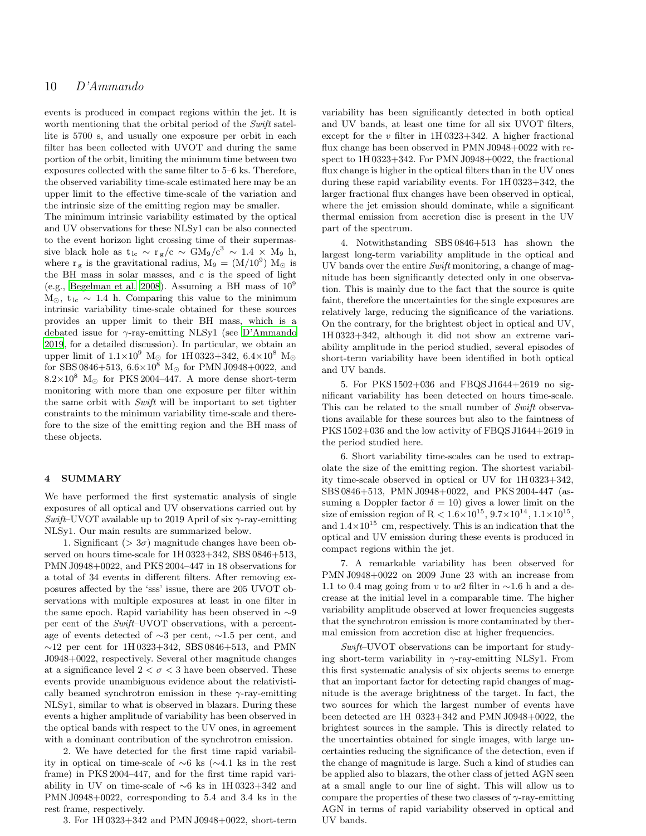events is produced in compact regions within the jet. It is worth mentioning that the orbital period of the Swift satellite is 5700 s, and usually one exposure per orbit in each filter has been collected with UVOT and during the same portion of the orbit, limiting the minimum time between two exposures collected with the same filter to 5–6 ks. Therefore, the observed variability time-scale estimated here may be an upper limit to the effective time-scale of the variation and the intrinsic size of the emitting region may be smaller.

The minimum intrinsic variability estimated by the optical and UV observations for these NLSy1 can be also connected to the event horizon light crossing time of their supermassive black hole as  $t_{lc} \sim r_g/c \sim GM_9/c^3 \sim 1.4 \times M_9 h$ , where  $r_g$  is the gravitational radius,  $M_9 = (M/10^9) M_{\odot}$  is the BH mass in solar masses, and  $c$  is the speed of light (e.g., [Begelman et al. 2008\)](#page-10-59). Assuming a BH mass of  $10^9$  $M_{\odot}$ , t<sub>lc</sub> ~ 1.4 h. Comparing this value to the minimum intrinsic variability time-scale obtained for these sources provides an upper limit to their BH mass, which is a debated issue for γ-ray-emitting NLSy1 (see [D'Ammando](#page-10-16) [2019](#page-10-16), for a detailed discussion). In particular, we obtain an upper limit of  $1.1\times10^9$  M<sub>☉</sub> for 1H 0323+342,  $6.4\times10^8$  M<sub>☉</sub> for SBS 0846+513,  $6.6 \times 10^8$  M<sub>☉</sub> for PMN J0948+0022, and  $8.2\times10^8$  M<sub>☉</sub> for PKS 2004–447. A more dense short-term monitoring with more than one exposure per filter within the same orbit with Swift will be important to set tighter constraints to the minimum variability time-scale and therefore to the size of the emitting region and the BH mass of these objects.

#### <span id="page-9-0"></span>4 SUMMARY

We have performed the first systematic analysis of single exposures of all optical and UV observations carried out by Swift–UVOT available up to 2019 April of six  $\gamma$ -ray-emitting NLSy1. Our main results are summarized below.

1. Significant ( $> 3\sigma$ ) magnitude changes have been observed on hours time-scale for  $1H\,0323+342$ , SBS  $0846+513$ , PMN J0948+0022, and PKS 2004–447 in 18 observations for a total of 34 events in different filters. After removing exposures affected by the 'sss' issue, there are 205 UVOT observations with multiple exposures at least in one filter in the same epoch. Rapid variability has been observed in ∼9 per cent of the Swift–UVOT observations, with a percentage of events detected of ∼3 per cent, ∼1.5 per cent, and  $∼12$  per cent for 1H 0323+342, SBS 0846+513, and PMN J0948+0022, respectively. Several other magnitude changes at a significance level  $2 < \sigma < 3$  have been observed. These events provide unambiguous evidence about the relativistically beamed synchrotron emission in these  $\gamma$ -ray-emitting NLSy1, similar to what is observed in blazars. During these events a higher amplitude of variability has been observed in the optical bands with respect to the UV ones, in agreement with a dominant contribution of the synchrotron emission.

2. We have detected for the first time rapid variability in optical on time-scale of ∼6 ks (∼4.1 ks in the rest frame) in PKS 2004–447, and for the first time rapid variability in UV on time-scale of ∼6 ks in 1H 0323+342 and PMN J0948+0022, corresponding to 5.4 and 3.4 ks in the rest frame, respectively.

3. For 1H 0323+342 and PMN J0948+0022, short-term

variability has been significantly detected in both optical and UV bands, at least one time for all six UVOT filters, except for the  $v$  filter in  $1H\,0323+342$ . A higher fractional flux change has been observed in PMN J0948+0022 with respect to 1H 0323+342. For PMN J0948+0022, the fractional flux change is higher in the optical filters than in the UV ones during these rapid variability events. For 1H 0323+342, the larger fractional flux changes have been observed in optical, where the jet emission should dominate, while a significant thermal emission from accretion disc is present in the UV part of the spectrum.

4. Notwithstanding SBS 0846+513 has shown the largest long-term variability amplitude in the optical and UV bands over the entire Swift monitoring, a change of magnitude has been significantly detected only in one observation. This is mainly due to the fact that the source is quite faint, therefore the uncertainties for the single exposures are relatively large, reducing the significance of the variations. On the contrary, for the brightest object in optical and UV, 1H 0323+342, although it did not show an extreme variability amplitude in the period studied, several episodes of short-term variability have been identified in both optical and UV bands.

5. For PKS 1502+036 and FBQS J1644+2619 no significant variability has been detected on hours time-scale. This can be related to the small number of Swift observations available for these sources but also to the faintness of PKS 1502+036 and the low activity of FBQS J1644+2619 in the period studied here.

6. Short variability time-scales can be used to extrapolate the size of the emitting region. The shortest variability time-scale observed in optical or UV for 1H 0323+342, SBS 0846+513, PMN J0948+0022, and PKS 2004-447 (assuming a Doppler factor  $\delta = 10$ ) gives a lower limit on the size of emission region of  $R < 1.6 \times 10^{15}$ ,  $9.7 \times 10^{14}$ ,  $1.1 \times 10^{15}$ , and  $1.4\times10^{15}$  cm, respectively. This is an indication that the optical and UV emission during these events is produced in compact regions within the jet.

7. A remarkable variability has been observed for PMN J0948+0022 on 2009 June 23 with an increase from 1.1 to 0.4 mag going from v to w2 filter in  $\sim$ 1.6 h and a decrease at the initial level in a comparable time. The higher variability amplitude observed at lower frequencies suggests that the synchrotron emission is more contaminated by thermal emission from accretion disc at higher frequencies.

Swift–UVOT observations can be important for studying short-term variability in  $\gamma$ -ray-emitting NLSy1. From this first systematic analysis of six objects seems to emerge that an important factor for detecting rapid changes of magnitude is the average brightness of the target. In fact, the two sources for which the largest number of events have been detected are 1H 0323+342 and PMN J0948+0022, the brightest sources in the sample. This is directly related to the uncertainties obtained for single images, with large uncertainties reducing the significance of the detection, even if the change of magnitude is large. Such a kind of studies can be applied also to blazars, the other class of jetted AGN seen at a small angle to our line of sight. This will allow us to compare the properties of these two classes of  $\gamma$ -ray-emitting AGN in terms of rapid variability observed in optical and UV bands.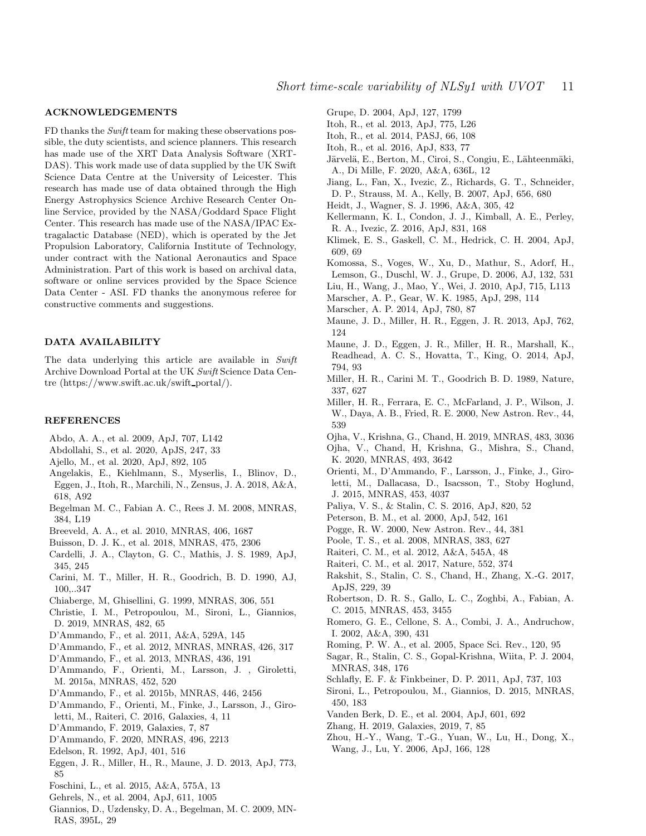#### ACKNOWLEDGEMENTS

FD thanks the Swift team for making these observations possible, the duty scientists, and science planners. This research has made use of the XRT Data Analysis Software (XRT-DAS). This work made use of data supplied by the UK Swift Science Data Centre at the University of Leicester. This research has made use of data obtained through the High Energy Astrophysics Science Archive Research Center Online Service, provided by the NASA/Goddard Space Flight Center. This research has made use of the NASA/IPAC Extragalactic Database (NED), which is operated by the Jet Propulsion Laboratory, California Institute of Technology, under contract with the National Aeronautics and Space Administration. Part of this work is based on archival data, software or online services provided by the Space Science Data Center - ASI. FD thanks the anonymous referee for constructive comments and suggestions.

#### DATA AVAILABILITY

The data underlying this article are available in Swift Archive Download Portal at the UK Swift Science Data Centre (https://www.swift.ac.uk/swift portal/).

#### REFERENCES

- <span id="page-10-6"></span>Abdo, A. A., et al. 2009, ApJ, 707, L142
- <span id="page-10-10"></span>Abdollahi, S., et al. 2020, ApJS, 247, 33
- <span id="page-10-9"></span>Ajello, M., et al. 2020, ApJ, 892, 105
- <span id="page-10-58"></span>Angelakis, E., Kiehlmann, S., Myserlis, I., Blinov, D., Eggen, J., Itoh, R., Marchili, N., Zensus, J. A. 2018, A&A, 618, A92
- <span id="page-10-59"></span>Begelman M. C., Fabian A. C., Rees J. M. 2008, MNRAS, 384, L19
- <span id="page-10-29"></span>Breeveld, A. A., et al. 2010, MNRAS, 406, 1687
- <span id="page-10-43"></span>Buisson, D. J. K., et al. 2018, MNRAS, 475, 2306
- <span id="page-10-36"></span>Cardelli, J. A., Clayton, G. C., Mathis, J. S. 1989, ApJ, 345, 245
- <span id="page-10-45"></span>Carini, M. T., Miller, H. R., Goodrich, B. D. 1990, AJ, 100,..347
- <span id="page-10-38"></span>Chiaberge, M, Ghisellini, G. 1999, MNRAS, 306, 551
- <span id="page-10-54"></span>Christie, I. M., Petropoulou, M., Sironi, L., Giannios, D. 2019, MNRAS, 482, 65
- <span id="page-10-31"></span>D'Ammando, F., et al. 2011, A&A, 529A, 145
- <span id="page-10-7"></span>D'Ammando, F., et al. 2012, MNRAS, MNRAS, 426, 317
- <span id="page-10-33"></span>D'Ammando, F., et al. 2013, MNRAS, 436, 191
- <span id="page-10-8"></span>D'Ammando, F., Orienti, M., Larsson, J. , Giroletti, M. 2015a, MNRAS, 452, 520
- <span id="page-10-37"></span>D'Ammando, F., et al. 2015b, MNRAS, 446, 2456
- <span id="page-10-15"></span>D'Ammando, F., Orienti, M., Finke, J., Larsson, J., Giro-
- letti, M., Raiteri, C. 2016, Galaxies, 4, 11
- <span id="page-10-16"></span>D'Ammando, F. 2019, Galaxies, 7, 87
- <span id="page-10-17"></span>D'Ammando, F. 2020, MNRAS, 496, 2213
- <span id="page-10-49"></span>Edelson, R. 1992, ApJ, 401, 516
- <span id="page-10-39"></span>Eggen, J. R., Miller, H., R., Maune, J. D. 2013, ApJ, 773, 85
- <span id="page-10-14"></span>Foschini, L., et al. 2015, A&A, 575A, 13
- <span id="page-10-27"></span>Gehrels, N., et al. 2004, ApJ, 611, 1005
- <span id="page-10-52"></span>Giannios, D., Uzdensky, D. A., Begelman, M. C. 2009, MN-RAS, 395L, 29

<span id="page-10-12"></span>Grupe, D. 2004, ApJ, 127, 1799

- <span id="page-10-23"></span>Itoh, R., et al. 2013, ApJ, 775, L26
- <span id="page-10-18"></span>Itoh, R., et al. 2014, PASJ, 66, 108
- <span id="page-10-56"></span>Itoh, R., et al. 2016, ApJ, 833, 77
- <span id="page-10-13"></span>Järvelä, E., Berton, M., Ciroi, S., Congiu, E., Lähteenmäki, A., Di Mille, F. 2020, A&A, 636L, 12
- <span id="page-10-4"></span>Jiang, L., Fan, X., Ivezic, Z., Richards, G. T., Schneider,
- D. P., Strauss, M. A., Kelly, B. 2007, ApJ, 656, 680
- <span id="page-10-46"></span>Heidt, J., Wagner, S. J. 1996, A&A, 305, 42
- <span id="page-10-5"></span>Kellermann, K. I., Condon, J. J., Kimball, A. E., Perley, R. A., Ivezic, Z. 2016, ApJ, 831, 168
- <span id="page-10-40"></span>Klimek, E. S., Gaskell, C. M., Hedrick, C. H. 2004, ApJ, 609, 69
- <span id="page-10-1"></span>Komossa, S., Voges, W., Xu, D., Mathur, S., Adorf, H.,
- Lemson, G., Duschl, W. J., Grupe, D. 2006, AJ, 132, 531
- <span id="page-10-22"></span>Liu, H., Wang, J., Mao, Y., Wei, J. 2010, ApJ, 715, L113
- <span id="page-10-50"></span>Marscher, A. P., Gear, W. K. 1985, ApJ, 298, 114
- <span id="page-10-51"></span>Marscher, A. P. 2014, ApJ, 780, 87
- <span id="page-10-24"></span>Maune, J. D., Miller, H. R., Eggen, J. R. 2013, ApJ, 762, 124
- <span id="page-10-20"></span>Maune, J. D., Eggen, J. R., Miller, H. R., Marshall, K., Readhead, A. C. S., Hovatta, T., King, O. 2014, ApJ, 794, 93
- <span id="page-10-44"></span>Miller, H. R., Carini M. T., Goodrich B. D. 1989, Nature, 337, 627
- <span id="page-10-41"></span>Miller, H. R., Ferrara, E. C., McFarland, J. P., Wilson, J. W., Daya, A. B., Fried, R. E. 2000, New Astron. Rev., 44, 539
- <span id="page-10-19"></span>Ojha, V., Krishna, G., Chand, H. 2019, MNRAS, 483, 3036
- <span id="page-10-25"></span>Ojha, V., Chand, H, Krishna, G., Mishra, S., Chand, K. 2020, MNRAS, 493, 3642
- <span id="page-10-34"></span>Orienti, M., D'Ammando, F., Larsson, J., Finke, J., Giroletti, M., Dallacasa, D., Isacsson, T., Stoby Hoglund, J. 2015, MNRAS, 453, 4037
- <span id="page-10-21"></span>Paliya, V. S., & Stalin, C. S. 2016, ApJ, 820, 52
- <span id="page-10-11"></span>Peterson, B. M., et al. 2000, ApJ, 542, 161
- <span id="page-10-0"></span>Pogge, R. W. 2000, New Astron. Rev., 44, 381
- <span id="page-10-28"></span>Poole, T. S., et al. 2008, MNRAS, 383, 627
- <span id="page-10-32"></span>Raiteri, C. M., et al. 2012, A&A, 545A, 48
- <span id="page-10-55"></span>Raiteri, C. M., et al. 2017, Nature, 552, 374
- <span id="page-10-3"></span>Rakshit, S., Stalin, C. S., Chand, H., Zhang, X.-G. 2017, ApJS, 229, 39
- <span id="page-10-42"></span>Robertson, D. R. S., Gallo, L. C., Zoghbi, A., Fabian, A. C. 2015, MNRAS, 453, 3455
- <span id="page-10-47"></span>Romero, G. E., Cellone, S. A., Combi, J. A., Andruchow, I. 2002, A&A, 390, 431
- <span id="page-10-26"></span>Roming, P. W. A., et al. 2005, Space Sci. Rev., 120, 95
- <span id="page-10-48"></span>Sagar, R., Stalin, C. S., Gopal-Krishna, Wiita, P. J. 2004, MNRAS, 348, 176
- <span id="page-10-35"></span>Schlafly, E. F. & Finkbeiner, D. P. 2011, ApJ, 737, 103
- <span id="page-10-53"></span>Sironi, L., Petropoulou, M., Giannios, D. 2015, MNRAS, 450, 183
- <span id="page-10-30"></span>Vanden Berk, D. E., et al. 2004, ApJ, 601, 692
- <span id="page-10-57"></span>Zhang, H. 2019, Galaxies, 2019, 7, 85
- <span id="page-10-2"></span>Zhou, H.-Y., Wang, T.-G., Yuan, W., Lu, H., Dong, X., Wang, J., Lu, Y. 2006, ApJ, 166, 128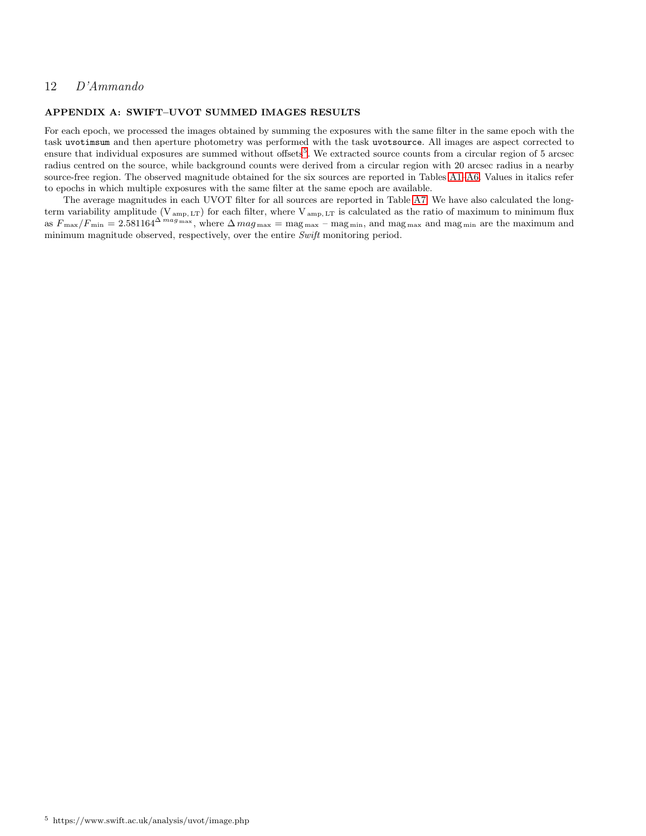#### <span id="page-11-0"></span>APPENDIX A: SWIFT–UVOT SUMMED IMAGES RESULTS

For each epoch, we processed the images obtained by summing the exposures with the same filter in the same epoch with the task uvotimsum and then aperture photometry was performed with the task uvotsource. All images are aspect corrected to ensure that individual exposures are summed without offsets<sup>[5](#page-11-1)</sup>. We extracted source counts from a circular region of 5 arcsec radius centred on the source, while background counts were derived from a circular region with 20 arcsec radius in a nearby source-free region. The observed magnitude obtained for the six sources are reported in Tables [A1](#page-12-0)[–A6.](#page-17-2) Values in italics refer to epochs in which multiple exposures with the same filter at the same epoch are available.

<span id="page-11-1"></span>The average magnitudes in each UVOT filter for all sources are reported in Table [A7.](#page-17-1) We have also calculated the longterm variability amplitude (V<sub>amp, LT</sub>) for each filter, where V<sub>amp, LT</sub> is calculated as the ratio of maximum to minimum flux as  $F_{\text{max}}/F_{\text{min}} = 2.581164^{\Delta \text{ mag}_{\text{max}}}$ , where  $\Delta \text{ mag}_{\text{max}} = \text{mag}_{\text{max}} - \text{mag}_{\text{min}}$ , and  $\text{mag}_{\text{max}}$  and  $\text{mag}_{\text{min}}$  are the maximum and minimum magnitude observed, respectively, over the entire Swift monitoring period.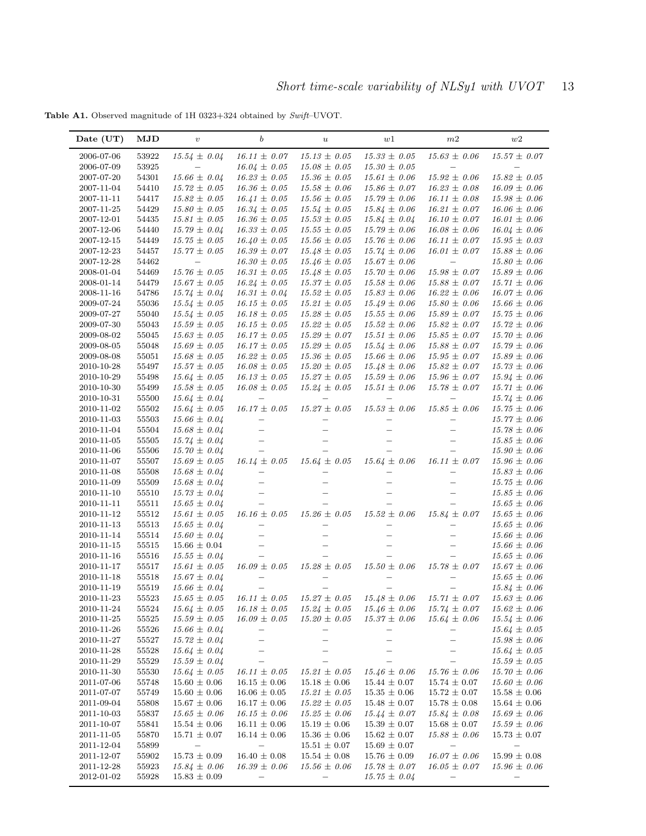<span id="page-12-0"></span>

| Date (UT)                  | MJD       | $\boldsymbol{v}$         | $\boldsymbol{b}$         | $\boldsymbol{u}$         | w1                                                                                   | m <sub>2</sub>           | w2                       |
|----------------------------|-----------|--------------------------|--------------------------|--------------------------|--------------------------------------------------------------------------------------|--------------------------|--------------------------|
| 2006-07-06                 | 53922     | $15.54 \pm 0.04$         | $16.11 \pm 0.07$         | $15.13 \pm 0.05$         | $15.33\,\pm\,0.05$                                                                   | $15.63 \pm 0.06$         | $15.57 \pm 0.07$         |
| 2006-07-09                 | 53925     |                          | $16.04 \pm 0.05$         | $15.08 \pm 0.05$         | $15.30 \pm 0.05$                                                                     |                          |                          |
| 2007-07-20                 | 54301     | $15.66 \pm 0.04$         | $16.23 \pm 0.05$         | $15.36 \pm 0.05$         | $15.61 \pm 0.06$                                                                     | $15.92 \pm 0.06$         | $15.82 \pm 0.05$         |
| 2007-11-04                 | 54410     | $15.72 \pm 0.05$         | $16.36 \pm 0.05$         | $15.58 \pm 0.06$         | $15.86 \pm 0.07$                                                                     | $16.23 \pm 0.08$         | $16.09 \pm 0.06$         |
| 2007-11-11                 | 54417     | $15.82 \pm 0.05$         | $16.41 \pm 0.05$         | $15.56 \pm 0.05$         | $15.79 \pm 0.06$                                                                     | $16.11 \pm 0.08$         | $15.98 \pm 0.06$         |
| 2007-11-25                 | 54429     | $15.80 \pm 0.05$         | $16.34 \pm 0.05$         | $15.54 \pm 0.05$         | $15.84 \pm 0.06$                                                                     | $16.21 \pm 0.07$         | $16.06 \pm 0.06$         |
| 2007-12-01                 | 54435     | $15.81 \pm 0.05$         | $16.36 \pm 0.05$         | $15.53 \pm 0.05$         | $15.84 \pm 0.04$                                                                     | $16.10 \pm 0.07$         | $16.01 \pm 0.06$         |
| 2007-12-06                 | 54440     | $15.79 \pm 0.04$         | $16.33 \pm 0.05$         | $15.55 \pm 0.05$         | $15.79 \pm 0.06$                                                                     | $16.08 \pm 0.06$         | $16.04 \pm 0.06$         |
| 2007-12-15                 | 54449     | $15.75 \pm 0.05$         | $16.40 \pm 0.05$         | $15.56 \pm 0.05$         | $15.76 \pm 0.06$                                                                     | $16.11 \pm 0.07$         | $15.95 \pm 0.03$         |
| 2007-12-23                 | 54457     | $15.77 \pm 0.05$         | $16.39 \pm\,0.07$        | $15.48 \pm 0.05$         | $15.74 \pm 0.06$                                                                     | $16.01 \pm 0.07$         | $15.88 \pm 0.06$         |
| 2007-12-28                 | 54462     | $\overline{\phantom{m}}$ | $16.30 \pm 0.05$         | $15.46 \pm 0.05$         | $15.67 \pm 0.06$                                                                     | $\overline{\phantom{m}}$ | $15.80 \pm 0.06$         |
| 2008-01-04                 | 54469     | $15.76 \pm 0.05$         | $16.31 \pm 0.05$         | $15.48 \pm 0.05$         | $15.70 \pm 0.06$                                                                     | $15.98 \pm 0.07$         | $15.89 \pm 0.06$         |
| 2008-01-14                 | 54479     | $15.67 \pm 0.05$         | $16.24 \pm 0.05$         | $15.37 \pm 0.05$         | $15.58 \pm 0.06$                                                                     | $15.88 \pm 0.07$         | $15.71 \pm 0.06$         |
| 2008-11-16                 | 54786     | $15.74 \pm 0.04$         | $16.31 \pm 0.04$         | $15.52 \pm 0.05$         | $15.83 \pm 0.06$                                                                     | $16.22 \pm 0.06$         | $16.07 \pm 0.06$         |
| 2009-07-24                 | 55036     | $15.54 \pm 0.05$         | $16.15 \pm 0.05$         | $15.21 \pm 0.05$         | $15.49 \pm 0.06$                                                                     | $15.80 \pm 0.06$         | $15.66 \pm 0.06$         |
| 2009-07-27                 | 55040     | $15.54 \pm 0.05$         | $16.18 \pm 0.05$         | $15.28 \pm 0.05$         | $15.55 \pm 0.06$                                                                     | $15.89 \pm 0.07$         | $15.75 \pm 0.06$         |
| 2009-07-30                 | 55043     | $15.59 \pm 0.05$         | $16.15 \pm 0.05$         | $15.22 \pm 0.05$         | $15.52 \pm 0.06$                                                                     | $15.82 \pm 0.07$         | $15.72 \pm 0.06$         |
| 2009-08-02                 | 55045     | $15.63 \pm 0.05$         | $16.17 \pm 0.05$         | $15.29 \pm 0.07$         | $15.51 \pm 0.06$                                                                     | $15.85 \pm 0.07$         | $15.70 \pm 0.06$         |
| 2009-08-05                 | 55048     | $15.69 \pm 0.05$         | $16.17 \pm 0.05$         | $15.29 \pm 0.05$         | $15.54 \pm 0.06$                                                                     | $15.88 \pm 0.07$         | $15.79 \pm 0.06$         |
| 2009-08-08                 | 55051     | $15.68 \pm 0.05$         | $16.22 \pm 0.05$         | $15.36 \pm 0.05$         | $15.66 \pm 0.06$                                                                     | $15.95 \pm 0.07$         | $15.89 \pm 0.06$         |
| 2010-10-28                 | 55497     | $15.57 \pm 0.05$         | $16.08 \pm 0.05$         | $15.20 \pm 0.05$         | $15.48 \pm 0.06$                                                                     | $15.82 \pm 0.07$         | $15.73 \pm 0.06$         |
| 2010-10-29                 | 55498     | $15.64 \pm 0.05$         | $16.13 \pm 0.05$         | $15.27 \pm 0.05$         | $15.59 \pm 0.06$                                                                     | $15.96 \pm 0.07$         | $15.94 \pm 0.06$         |
| 2010-10-30                 | 55499     | $15.58\,\pm\,0.05$       | $16.08 \pm 0.05$         | $15.24 \pm 0.05$         | $15.51 \pm 0.06$                                                                     | $15.78 \pm 0.07$         | $15.71 \pm 0.06$         |
| 2010-10-31                 | 55500     | $15.64 \pm 0.04$         | $\overline{\phantom{0}}$ |                          | $\qquad \qquad -$                                                                    | $\overline{\phantom{0}}$ | $15.74 \pm 0.06$         |
| 2010-11-02                 | 55502     | $15.64 \pm 0.05$         | $16.17 \pm 0.05$         | $15.27 \pm 0.05$         | $15.53 \pm 0.06$                                                                     | $15.85 \pm 0.06$         | $15.75 \pm 0.06$         |
| 2010-11-03                 | 55503     | $15.66 \pm 0.04$         | $\overline{\phantom{0}}$ |                          |                                                                                      | $\qquad \qquad -$        | $15.77 \pm 0.06$         |
| 2010-11-04                 | 55504     | $15.68 \pm 0.04$         |                          |                          |                                                                                      |                          | $15.78 \pm 0.06$         |
| 2010-11-05                 | 55505     | $15.74 \pm 0.04$         | $\overline{\phantom{0}}$ |                          |                                                                                      |                          | $15.85 \pm 0.06$         |
| 2010-11-06                 | 55506     | $15.70 \pm 0.04$         | $\overline{\phantom{0}}$ |                          |                                                                                      |                          | $15.90 \pm 0.06$         |
| 2010-11-07                 | 55507     | $15.69 \pm 0.05$         | $16.14 \pm 0.05$         | $15.64 \pm 0.05$         | $15.64 \pm 0.06$                                                                     | $16.11 \pm 0.07$         | $15.96 \pm 0.06$         |
| 2010-11-08                 | 55508     | $15.68 \pm 0.04$         |                          |                          |                                                                                      |                          | $15.83 \pm 0.06$         |
| 2010-11-09                 | 55509     | $15.68 \pm 0.04$         | —                        |                          |                                                                                      |                          | $15.75 \pm 0.06$         |
| 2010-11-10                 | 55510     | $15.73 \pm 0.04$         |                          |                          |                                                                                      | $\equiv$                 | $15.85 \pm 0.06$         |
| 2010-11-11                 | 55511     | $15.65 \pm 0.04$         |                          |                          |                                                                                      |                          | $15.65 \pm 0.06$         |
| 2010-11-12                 | 55512     | $15.61 \pm 0.05$         | $16.16 \pm 0.05$         | $15.26 \pm 0.05$         | $15.52 \pm 0.06$                                                                     | $15.84\,\pm\,0.07$       | $15.65 \pm 0.06$         |
| 2010-11-13                 | 55513     | $15.65 \pm 0.04$         | $\qquad \qquad -$        |                          |                                                                                      |                          | $15.65 \pm 0.06$         |
| 2010-11-14                 | 55514     | $15.60 \pm 0.04$         |                          |                          |                                                                                      |                          | $15.66 \pm 0.06$         |
| 2010-11-15                 | 55515     | $15.66 \pm 0.04$         |                          |                          |                                                                                      |                          | $15.66 \pm 0.06$         |
| 2010-11-16                 | 55516     | $15.55 \pm 0.04$         | $\overline{\phantom{m}}$ |                          |                                                                                      |                          | $15.65 \pm 0.06$         |
| 2010-11-17                 | 55517     | $15.61 \pm 0.05$         | $16.09 \pm 0.05$         | $15.28 \pm 0.05$         | $15.50 \pm 0.06$                                                                     | $15.78 \pm 0.07$         | $15.67 \pm 0.06$         |
| 2010-11-18                 | 55518     | $15.67 \pm 0.04$         |                          |                          |                                                                                      |                          | $15.65 \pm 0.06$         |
| 2010-11-19                 | 55519     | $15.66 \pm 0.04$         | $\overline{\phantom{m}}$ |                          |                                                                                      |                          | $15.84 \pm 0.06$         |
| 2010-11-23                 | 55523     | $15.65 \pm 0.05$         | $16.11 \pm 0.05$         | $15.27 \pm 0.05$         | $15.48 \pm 0.06$                                                                     | $15.71 \pm 0.07$         | $15.63 \pm 0.06$         |
| $2010\hbox{-}11\hbox{-}24$ | $55524\,$ |                          |                          |                          | $15.64 \pm 0.05$ $16.18 \pm 0.05$ $15.24 \pm 0.05$ $15.46 \pm 0.06$ $15.74 \pm 0.07$ |                          | $15.62\,\pm\,0.06$       |
| 2010-11-25                 | 55525     | $15.59 \pm 0.05$         | $16.09 \pm 0.05$         | $15.20 \pm 0.05$         | $15.37 \pm 0.06$                                                                     | $15.64 \pm 0.06$         | $15.54 \pm 0.06$         |
| 2010-11-26                 | 55526     | $15.66 \pm 0.04$         | $\overline{\phantom{0}}$ | —                        | —                                                                                    |                          | $15.64 \pm 0.05$         |
| $2010\hbox{-}11\hbox{-}27$ | 55527     | $15.72 \pm 0.04$         | —                        |                          |                                                                                      |                          | $15.98 \pm 0.06$         |
| 2010-11-28                 | 55528     | $15.64 \pm 0.04$         | $\qquad \qquad -$        |                          |                                                                                      |                          | $15.64 \pm 0.05$         |
| 2010-11-29                 | 55529     | $15.59 \pm 0.04$         |                          |                          |                                                                                      | $\qquad \qquad -$        | $15.59 \pm 0.05$         |
| 2010-11-30                 | 55530     | $15.64 \pm 0.05$         | $16.11\,\pm\,0.05$       | $15.21 \pm 0.05$         | $15.46 \pm 0.06$                                                                     | $15.76 \pm 0.06$         | $15.70 \pm 0.06$         |
| 2011-07-06                 | 55748     | $15.60\,\pm\,0.06$       | $16.15 \pm 0.06$         | $15.18 \pm 0.06$         | $15.44 \pm 0.07$                                                                     | $15.74 \pm 0.07$         | $15.60 \pm 0.06$         |
| 2011-07-07                 | 55749     | $15.60 \pm 0.06$         | $16.06 \pm 0.05$         | $15.21 \pm 0.05$         | $15.35 \pm 0.06$                                                                     | $15.72 \pm 0.07$         | $15.58 \pm 0.06$         |
| 2011-09-04                 | 55808     | $15.67\,\pm\,0.06$       | $16.17\,\pm\,0.06$       | $15.22 \pm 0.05$         | $15.48 \pm 0.07$                                                                     | $15.78 \pm 0.08$         | $15.64 \pm 0.06$         |
| 2011-10-03                 | 55837     | $15.65\,\pm\,0.06$       | $16.15 \pm 0.06$         | $15.25 \pm 0.06$         | $15.44 \pm 0.07$                                                                     | $15.84\,\pm\,0.08$       | $15.69 \pm 0.06$         |
| 2011-10-07                 | 55841     | $15.54\,\pm\,0.06$       | $16.11 \pm 0.06$         | $15.19 \pm 0.06$         | $15.39\,\pm\,0.07$                                                                   | $15.68 \pm 0.07$         | $15.59 \pm 0.06$         |
| 2011-11-05                 | 55870     | $15.71 \pm 0.07$         | $16.14 \pm 0.06$         | $15.36 \pm 0.06$         | $15.62 \pm 0.07$                                                                     | $15.88 \pm 0.06$         | $15.73 \pm 0.07$         |
| 2011-12-04                 | 55899     | $\overline{\phantom{m}}$ | $\overline{\phantom{m}}$ | $15.51\,\pm\,0.07$       | $15.69 \pm 0.07$                                                                     | $\overline{\phantom{m}}$ |                          |
| 2011-12-07                 | 55902     | $15.73 \pm 0.09$         | $16.40 \pm 0.08$         | $15.54 \pm 0.08$         | $15.76 \pm 0.09$                                                                     | $16.07 \pm 0.06$         | $15.99 \pm 0.08$         |
| 2011-12-28                 | 55923     | $15.84 \pm 0.06$         | $16.39 \pm 0.06$         | $15.56 \pm 0.06$         | $15.78 \pm 0.07$                                                                     | $16.05 \pm 0.07$         | $15.96 \pm 0.06$         |
| 2012-01-02                 | 55928     | $15.83 \pm 0.09$         | $\overline{\phantom{m}}$ | $\overline{\phantom{m}}$ | $15.75 \pm 0.04$                                                                     | $\overline{\phantom{m}}$ | $\overline{\phantom{m}}$ |

Table A1. Observed magnitude of 1H 0323+324 obtained by Swift–UVOT.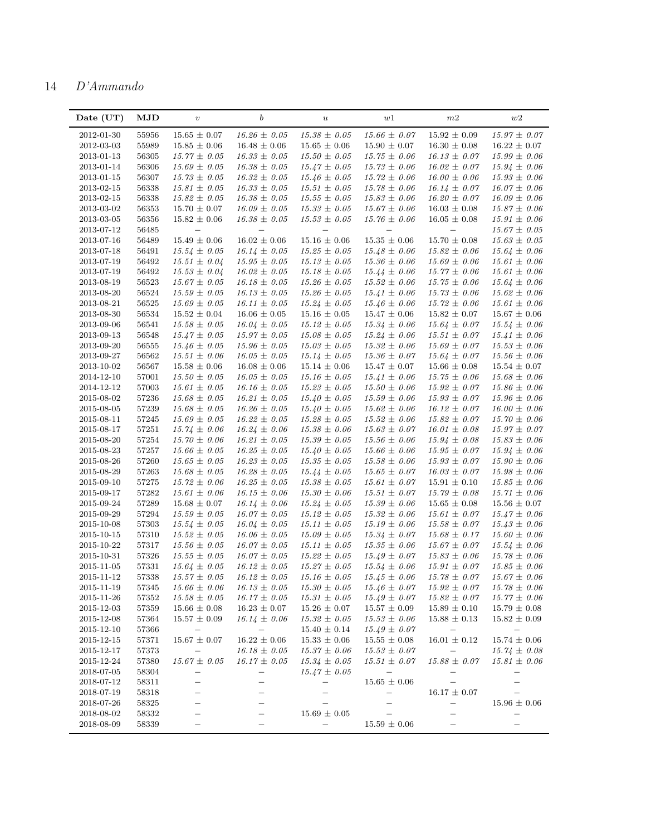| Date (UT)                  | $_{\rm MJD}$   | $\boldsymbol{v}$                      | $\boldsymbol{b}$                      | $\boldsymbol{u}$                             | w1                                                                                   | m2                                     | w2                                   |
|----------------------------|----------------|---------------------------------------|---------------------------------------|----------------------------------------------|--------------------------------------------------------------------------------------|----------------------------------------|--------------------------------------|
| 2012-01-30                 | 55956          | $15.65 \pm 0.07$                      | $16.26 \pm 0.05$                      | $15.38 \pm 0.05$                             | $15.66 \pm 0.07$                                                                     | $15.92 \pm 0.09$                       | $15.97 \pm 0.07$                     |
| $2012 - 03 - 03$           | 55989          | $15.85\,\pm\,0.06$                    | $16.48 \pm 0.06$                      | $15.65 \pm 0.06$                             | $15.90 \pm 0.07$                                                                     | $16.30 \pm 0.08$                       | $16.22 \pm 0.07$                     |
| 2013-01-13                 | 56305          | $15.77 \pm 0.05$                      | $16.33 \pm 0.05$                      | $15.50 \pm 0.05$                             | $15.75 \pm 0.06$                                                                     | $16.13 \pm 0.07$                       | $15.99 \pm 0.06$                     |
| 2013-01-14                 | 56306          | $15.69 \pm 0.05$                      | $16.38 \pm 0.05$                      | $15.47 \pm 0.05$                             | $15.73 \pm 0.06$                                                                     | $16.02 \pm 0.07$                       | $15.94 \pm 0.06$                     |
| 2013-01-15                 | 56307          | $15.73 \pm 0.05$                      | $16.32 \pm 0.05$                      | $15.46 \pm 0.05$                             | $15.72 \pm 0.06$                                                                     | $16.00 \pm 0.06$                       | $15.93 \pm 0.06$                     |
| 2013-02-15                 | 56338          | $15.81 \pm 0.05$                      | $16.33 \pm 0.05$                      | $15.51 \pm 0.05$                             | $15.78 \pm 0.06$                                                                     | $16.14 \pm 0.07$                       | $16.07 \pm 0.06$                     |
| 2013-02-15                 | 56338          | $15.82 \pm 0.05$                      | $16.38 \pm 0.05$                      | $15.55 \pm 0.05$                             | $15.83 \pm 0.06$                                                                     | $16.20 \pm 0.07$                       | $16.09 \pm 0.06$                     |
| 2013-03-02                 | 56353          | $15.70\,\pm\,0.07$                    | $16.09 \pm 0.05$                      | $15.33 \pm 0.05$                             | $15.67 \pm 0.06$                                                                     | $16.03 \pm 0.08$                       | $15.87 \pm 0.06$                     |
| 2013-03-05<br>2013-07-12   | 56356<br>56485 | $15.82 \pm 0.06$<br>$\qquad \qquad -$ | $16.38 \pm 0.05$<br>$\qquad \qquad -$ | $15.53 \pm 0.05$<br>$\overline{\phantom{0}}$ | $15.76 \pm 0.06$                                                                     | $16.05 \pm 0.08$                       | $15.91 \pm 0.06$<br>$15.67 \pm 0.05$ |
| $2013 - 07 - 16$           | 56489          | $15.49 \pm 0.06$                      | $16.02 \pm 0.06$                      | $15.16 \pm 0.06$                             | $15.35 \pm 0.06$                                                                     | $15.70 \pm 0.08$                       | $15.63 \pm 0.05$                     |
| 2013-07-18                 | 56491          | $15.54 \pm 0.05$                      | $16.14 \pm 0.05$                      | $15.25 \pm 0.05$                             | $15.48 \pm 0.06$                                                                     | $15.82 \pm 0.06$                       | $15.64 \pm 0.06$                     |
| 2013-07-19                 | 56492          | $15.51 \pm 0.04$                      | $15.95 \pm 0.05$                      | $15.13 \pm 0.05$                             | $15.36 \pm 0.06$                                                                     | $15.69 \pm 0.06$                       | $15.61 \pm 0.06$                     |
| 2013-07-19                 | 56492          | $15.53 \pm 0.04$                      | $16.02 \pm 0.05$                      | $15.18 \pm 0.05$                             | $15.44 \pm 0.06$                                                                     | $15.77 \pm 0.06$                       | $15.61 \pm 0.06$                     |
| 2013-08-19                 | 56523          | $15.67 \pm 0.05$                      | $16.18 \pm 0.05$                      | $15.26 \pm 0.05$                             | $15.52 \pm 0.06$                                                                     | $15.75 \pm 0.06$                       | $15.64 \pm 0.06$                     |
| 2013-08-20                 | 56524          | $15.59 \pm 0.05$                      | $16.13 \pm 0.05$                      | $15.26 \pm 0.05$                             | $15.41 \pm 0.06$                                                                     | $15.73 \pm 0.06$                       | $15.62 \pm 0.06$                     |
| 2013-08-21                 | 56525          | $15.69 \pm 0.05$                      | $16.11 \pm 0.05$                      | $15.24 \pm 0.05$                             | $15.46 \pm 0.06$                                                                     | $15.72 \pm 0.06$                       | $15.61 \pm 0.06$                     |
| 2013-08-30                 | 56534          | $15.52 \pm 0.04$                      | $16.06 \pm 0.05$                      | $15.16 \pm 0.05$                             | $15.47 \pm 0.06$                                                                     | $15.82 \pm 0.07$                       | $15.67 \pm 0.06$                     |
| 2013-09-06                 | 56541          | $15.58 \pm 0.05$                      | $16.04 \pm 0.05$                      | $15.12 \pm 0.05$                             | $15.34 \pm 0.06$                                                                     | $15.64 \pm 0.07$                       | $15.54 \pm 0.06$                     |
| 2013-09-13                 | 56548          | $15.47 \pm 0.05$                      | $15.97 \pm 0.05$                      | $15.08 \pm 0.05$                             | $15.24 \pm 0.06$                                                                     | $15.51 \pm 0.07$                       | $15.41 \pm 0.06$                     |
| 2013-09-20                 | 56555          | $15.46 \pm 0.05$                      | $15.96\,\pm\,0.05$                    | $15.03 \pm 0.05$                             | $15.32 \pm 0.06$                                                                     | $15.69 \pm 0.07$                       | $15.53 \pm 0.06$                     |
| 2013-09-27                 | 56562          | $15.51 \pm 0.06$                      | $16.05 \pm 0.05$                      | $15.14 \pm 0.05$                             | $15.36 \pm 0.07$                                                                     | $15.64 \pm 0.07$                       | $15.56 \pm 0.06$                     |
| 2013-10-02                 | 56567          | $15.58\,\pm\,0.06$                    | $16.08 \pm 0.06$                      | $15.14 \pm 0.06$                             | $15.47 \pm 0.07$                                                                     | $15.66\,\pm\,0.08$                     | $15.54 \pm 0.07$                     |
| 2014-12-10                 | 57001          | $15.50 \pm 0.05$                      | $16.05 \pm 0.05$                      | $15.16 \pm 0.05$                             | $15.41 \pm 0.06$                                                                     | $15.75 \pm 0.06$                       | $15.68 \pm 0.06$                     |
| 2014-12-12                 | 57003          | $15.61 \pm 0.05$                      | $16.16 \pm 0.05$                      | $15.23 \pm 0.05$                             | $15.50 \pm 0.06$                                                                     | $15.92 \pm 0.07$                       | $15.86 \pm 0.06$                     |
| 2015-08-02                 | 57236          | $15.68 \pm 0.05$                      | $16.21 \pm 0.05$                      | $15.40 \pm 0.05$                             | $15.59 \pm 0.06$                                                                     | $15.93 \pm 0.07$                       | $15.96 \pm 0.06$                     |
| 2015-08-05                 | 57239          | $15.68 \pm 0.05$                      | $16.26 \pm 0.05$                      | $15.40 \pm 0.05$                             | $15.62 \pm 0.06$                                                                     | $16.12 \pm 0.07$                       | $16.00 \pm 0.06$                     |
| 2015-08-11<br>2015-08-17   | 57245<br>57251 | $15.69 \pm 0.05$<br>$15.74 \pm 0.06$  | $16.22 \pm 0.05$<br>$16.24 \pm 0.06$  | $15.28 \pm 0.05$<br>$15.38 \pm 0.06$         | $15.52 \pm 0.06$<br>$15.63 \pm 0.07$                                                 | $15.82 \pm 0.07$<br>$16.01 \pm 0.08$   | $15.70 \pm 0.06$<br>$15.97 \pm 0.07$ |
| 2015-08-20                 | 57254          | $15.70 \pm 0.06$                      | $16.21 \pm 0.05$                      | $15.39 \pm 0.05$                             | $15.56 \pm 0.06$                                                                     | $15.94 \pm 0.08$                       | $15.83 \pm 0.06$                     |
| 2015-08-23                 | 57257          | $15.66 \pm 0.05$                      | $16.25 \pm 0.05$                      | $15.40 \pm 0.05$                             | $15.66 \pm 0.06$                                                                     | $15.95 \pm 0.07$                       | $15.94 \pm 0.06$                     |
| 2015-08-26                 | 57260          | $15.65 \pm 0.05$                      | $16.23 \pm 0.05$                      | $15.35 \pm 0.05$                             | $15.58 \pm 0.06$                                                                     | $15.93 \pm 0.07$                       | $15.90 \pm 0.06$                     |
| 2015-08-29                 | 57263          | $15.68 \pm 0.05$                      | $16.28 \pm 0.05$                      | $15.44 \pm 0.05$                             | $15.65 \pm 0.07$                                                                     | $16.03 \pm 0.07$                       | $15.98 \pm 0.06$                     |
| 2015-09-10                 | 57275          | $15.72 \pm 0.06$                      | $16.25 \pm 0.05$                      | $15.38 \pm 0.05$                             | $15.61 \pm 0.07$                                                                     | $15.91 \pm 0.10$                       | $15.85 \pm 0.06$                     |
| 2015-09-17                 | 57282          | $15.61 \pm 0.06$                      | $16.15 \pm 0.06$                      | $15.30 \pm 0.06$                             | $15.51 \pm 0.07$                                                                     | $15.79 \pm 0.08$                       | $15.71 \pm 0.06$                     |
| 2015-09-24                 | 57289          | $15.68 \pm 0.07$                      | $16.14 \pm 0.06$                      | $15.24 \pm 0.05$                             | $15.39 \pm 0.06$                                                                     | $15.65 \pm 0.08$                       | $15.56 \pm 0.07$                     |
| 2015-09-29                 | 57294          | $15.59 \pm 0.05$                      | $16.07 \pm 0.05$                      | $15.12 \pm 0.05$                             | $15.32 \pm 0.06$                                                                     | $15.61 \pm 0.07$                       | $15.47 \pm 0.06$                     |
| 2015-10-08                 | 57303          | $15.54 \pm 0.05$                      | $16.04 \pm 0.05$                      | $15.11 \pm 0.05$                             | $15.19 \pm 0.06$                                                                     | $15.58 \pm 0.07$                       | $15.43 \pm 0.06$                     |
| 2015-10-15                 | 57310          | $15.52 \pm 0.05$                      | $16.06 \pm 0.05$                      | $15.09 \pm 0.05$                             | $15.34 \pm 0.07$                                                                     | $15.68 \pm 0.17$                       | $15.60 \pm 0.06$                     |
| 2015-10-22                 | 57317          | $15.56 \pm 0.05$                      | $16.07\pm\,0.05$                      | $15.11 \pm 0.05$                             | $15.35 \pm 0.06$                                                                     | $15.67 \pm 0.07$                       | $15.54 \pm 0.06$                     |
| 2015-10-31                 | 57326          | $15.55 \pm 0.05$                      | $16.07 \pm 0.05$                      | $15.22 \pm 0.05$                             | $15.49 \pm 0.07$                                                                     | $15.83 \pm 0.06$                       | $15.78 \pm 0.06$                     |
| 2015-11-05                 | 57331          | $15.64 \pm 0.05$                      | $16.12 \pm 0.05$                      | $15.27 \pm 0.05$                             | $15.54 \pm 0.06$                                                                     | $15.91 \pm 0.07$                       | $15.85 \pm 0.06$                     |
| $2015 - 11 - 12$           | $57338\,$      |                                       |                                       |                                              | $15.57 \pm 0.05$ $16.12 \pm 0.05$ $15.16 \pm 0.05$ $15.45 \pm 0.06$ $15.78 \pm 0.07$ |                                        | $15.67\pm\,0.06$                     |
| 2015-11-19                 | 57345          | $15.66 \pm 0.06$                      | $16.13 \pm 0.05$                      | $15.30 \pm 0.05$                             | $15.46 \pm 0.07$                                                                     | $15.92 \pm 0.07$                       | $15.78 \pm 0.06$                     |
| $2015\hbox{-}11\hbox{-}26$ | 57352          | $15.58 \pm 0.05$                      | $16.17 \pm 0.05$                      | $15.31 \pm 0.05$                             | $15.49 \pm 0.07$                                                                     | $15.82 \pm 0.07$                       | $15.77 \pm 0.06$<br>$15.79 \pm 0.08$ |
| 2015-12-03<br>2015-12-08   | 57359<br>57364 | $15.66 \pm 0.08$<br>$15.57 \pm 0.09$  | $16.23 \pm 0.07$<br>$16.14 \pm 0.06$  | $15.26 \pm 0.07$<br>$15.32 \pm 0.05$         | $15.57\,\pm\,0.09$<br>$15.53 \pm 0.06$                                               | $15.89 \pm 0.10$<br>$15.88\,\pm\,0.13$ | $15.82\,\pm\,0.09$                   |
| 2015-12-10                 | 57366          | $\overline{\phantom{m}}$              | $-$ .                                 | $15.40 \pm 0.14$                             | $15.49 \pm 0.07$                                                                     | $\overline{\phantom{m}}$               | $\overline{\phantom{m}}$             |
| 2015-12-15                 | 57371          | $15.67 \pm 0.07$                      | $16.22 \pm 0.06$                      | $15.33 \pm 0.06$                             | $15.55 \pm 0.08$                                                                     | $16.01 \pm 0.12$                       | $15.74 \pm 0.06$                     |
| 2015-12-17                 | 57373          | $\overline{\phantom{m}}$              | $16.18 \pm 0.05$                      | $15.37 \pm 0.06$                             | $15.53 \pm 0.07$                                                                     | $\overline{\phantom{m}}$               | $15.74 \pm 0.08$                     |
| $2015 - 12 - 24$           | 57380          | $15.67 \pm 0.05$                      | $16.17 \pm 0.05$                      | $15.34 \pm 0.05$                             | $15.51 \pm 0.07$                                                                     | $15.88 \pm 0.07$                       | $15.81 \pm 0.06$                     |
| 2018-07-05                 | 58304          | $\overline{\phantom{0}}$              | $\qquad \qquad -$                     | $15.47 \pm 0.05$                             | $\hspace{0.1mm}-\hspace{0.1mm}$                                                      |                                        | $\qquad \qquad -$                    |
| 2018-07-12                 | 58311          | $\overline{\phantom{0}}$              |                                       | $\overline{\phantom{0}}$                     | $15.65 \pm 0.06$                                                                     | $\qquad \qquad -$                      | $\overline{\phantom{m}}$             |
| 2018-07-19                 | 58318          | $\overline{\phantom{0}}$              | $\overline{\phantom{0}}$              | —                                            | $\overline{\phantom{0}}$                                                             | $16.17 \pm 0.07$                       | $\overline{\phantom{m}}$             |
| 2018-07-26                 | 58325          | $\overline{\phantom{m}}$              | $\overline{\phantom{0}}$              | $\overline{\phantom{m}}$                     | $\overline{\phantom{m}}$                                                             | $\overline{\phantom{0}}$               | $15.96 \pm 0.06$                     |
| 2018-08-02                 | 58332          |                                       |                                       | $15.69 \pm 0.05$                             |                                                                                      |                                        |                                      |
| 2018-08-09                 | 58339          |                                       |                                       | $\overline{\phantom{0}}$                     | $15.59 \pm 0.06$                                                                     |                                        |                                      |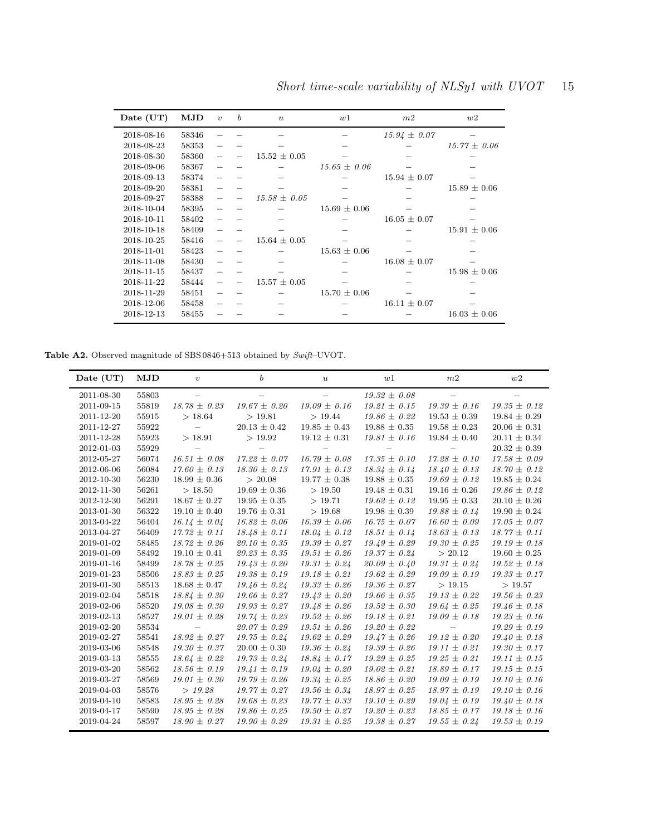| Date $(UT)$ | $_{\rm MJD}$ | $\boldsymbol{v}$             | $\boldsymbol{b}$ | $\boldsymbol{u}$ | w1               | m <sub>2</sub>   | w2               |
|-------------|--------------|------------------------------|------------------|------------------|------------------|------------------|------------------|
| 2018-08-16  | 58346        |                              |                  |                  |                  | $15.94 \pm 0.07$ |                  |
| 2018-08-23  | 58353        |                              |                  |                  |                  |                  | $15.77 \pm 0.06$ |
| 2018-08-30  | 58360        |                              |                  | $15.52 \pm 0.05$ |                  |                  |                  |
| 2018-09-06  | 58367        |                              |                  |                  | $15.65 \pm 0.06$ |                  |                  |
| 2018-09-13  | 58374        |                              |                  |                  |                  | $15.94 \pm 0.07$ |                  |
| 2018-09-20  | 58381        |                              |                  |                  |                  |                  | $15.89 \pm 0.06$ |
| 2018-09-27  | 58388        |                              |                  | $15.58 \pm 0.05$ |                  |                  |                  |
| 2018-10-04  | 58395        | $\overbrace{\qquad \qquad }$ |                  |                  | $15.69 \pm 0.06$ |                  |                  |
| 2018-10-11  | 58402        |                              |                  |                  |                  | $16.05 \pm 0.07$ |                  |
| 2018-10-18  | 58409        |                              |                  |                  |                  |                  | $15.91 \pm 0.06$ |
| 2018-10-25  | 58416        |                              |                  | $15.64 \pm 0.05$ |                  |                  |                  |
| 2018-11-01  | 58423        |                              |                  |                  | $15.63 \pm 0.06$ |                  |                  |
| 2018-11-08  | 58430        | $\overline{\phantom{0}}$     |                  |                  |                  | $16.08 \pm 0.07$ |                  |
| 2018-11-15  | 58437        |                              |                  |                  |                  |                  | $15.98 \pm 0.06$ |
| 2018-11-22  | 58444        |                              |                  | $15.57 \pm 0.05$ |                  |                  |                  |
| 2018-11-29  | 58451        |                              |                  |                  | $15.70 \pm 0.06$ |                  |                  |
| 2018-12-06  | 58458        |                              |                  |                  |                  | $16.11 \pm 0.07$ |                  |
| 2018-12-13  | 58455        |                              |                  |                  |                  |                  | $16.03 \pm 0.06$ |

 $\emph{Short time-scale variability of NLSy1 with UVOT} \quad \emph{15}$ 

Table A2. Observed magnitude of SBS 0846+513 obtained by Swift-UVOT.

| 2011-08-30<br>55803<br>$\overline{\phantom{m}}$ | $\overline{\phantom{m}}$<br>$19.67 \pm 0.20$ | $\overline{\phantom{0}}$ | $19.32 \pm 0.08$ |                          |                          |
|-------------------------------------------------|----------------------------------------------|--------------------------|------------------|--------------------------|--------------------------|
|                                                 |                                              |                          |                  | $\overline{\phantom{m}}$ | $\overline{\phantom{m}}$ |
| 2011-09-15<br>55819<br>$18.78 \pm 0.23$         |                                              | $19.09 \pm 0.16$         | $19.21 \pm 0.15$ | $19.39 \pm 0.16$         | $19.35 \pm 0.12$         |
| 55915<br>>18.64<br>2011-12-20                   | >19.81                                       | >19.44                   | $19.86 \pm 0.22$ | $19.53 \pm 0.39$         | $19.84 \pm 0.29$         |
| 2011-12-27<br>55922<br>$\overline{\phantom{m}}$ | $20.13 \pm 0.42$                             | $19.85 \pm 0.43$         | $19.88 \pm 0.35$ | $19.58 \pm 0.23$         | $20.06 \pm 0.31$         |
| 2011-12-28<br>55923<br>>18.91                   | >19.92                                       | $19.12 \pm 0.31$         | $19.81 \pm 0.16$ | $19.84 \pm 0.40$         | $20.11 \pm 0.34$         |
| 2012-01-03<br>55929                             |                                              |                          |                  |                          | $20.32 \pm 0.39$         |
| 2012-05-27<br>56074<br>$16.51 \pm 0.08$         | $17.22 \pm 0.07$                             | $16.79 \pm 0.08$         | $17.35 \pm 0.10$ | $17.28 \pm 0.10$         | $17.58 \pm 0.09$         |
| 56084<br>2012-06-06<br>$17.60 \pm 0.13$         | $18.30 \pm 0.13$                             | $17.91 \pm 0.13$         | $18.34 \pm 0.14$ | $18.40 \pm 0.13$         | $18.70 \pm 0.12$         |
| 56230<br>$18.99 \pm 0.36$<br>2012-10-30         | > 20.08                                      | $19.77 \pm 0.38$         | $19.88 \pm 0.35$ | $19.69 \pm 0.12$         | $19.85 \pm 0.24$         |
| > 18.50<br>2012-11-30<br>56261                  | $19.69 \pm 0.36$                             | >19.50                   | $19.48 \pm 0.31$ | $19.16 \pm 0.26$         | $19.86 \pm 0.12$         |
| 2012-12-30<br>56291<br>$18.67 \pm 0.27$         | $19.95 \pm 0.35$                             | >19.71                   | $19.62 \pm 0.12$ | $19.95 \pm 0.33$         | $20.10 \pm 0.26$         |
| 2013-01-30<br>56322<br>$19.10 \pm 0.40$         | $19.76 \pm 0.31$                             | >19.68                   | $19.98 \pm 0.39$ | $19.88 \pm 0.14$         | $19.90 \pm 0.24$         |
| 2013-04-22<br>56404<br>$16.14 \pm 0.04$         | $16.82 \pm 0.06$                             | $16.39 \pm 0.06$         | $16.75 \pm 0.07$ | $16.60 \pm 0.09$         | $17.05 \pm 0.07$         |
| 2013-04-27<br>56409<br>$17.72 \pm 0.11$         | $18.48 \pm 0.11$                             | $18.04 \pm 0.12$         | $18.51 \pm 0.14$ | $18.63 \pm 0.13$         | $18.77 \pm 0.11$         |
| 2019-01-02<br>58485<br>$18.72 \pm 0.26$         | $20.10 \pm 0.35$                             | $19.39 \pm 0.27$         | $19.49 \pm 0.29$ | $19.30 \pm 0.25$         | $19.19 \pm 0.18$         |
| 2019-01-09<br>$19.10 \pm 0.41$<br>58492         | $20.23 \pm 0.35$                             | $19.51 \pm 0.26$         | $19.37 \pm 0.24$ | > 20.12                  | $19.60 \pm 0.25$         |
| 2019-01-16<br>58499<br>$18.78 \pm 0.25$         | $19.43 \pm 0.20$                             | $19.31 \pm 0.24$         | $20.09 \pm 0.40$ | $19.31 \pm 0.24$         | $19.52 \pm 0.18$         |
| 2019-01-23<br>58506<br>$18.83 \pm 0.25$         | $19.38 \pm 0.19$                             | $19.18 \pm 0.21$         | $19.62 \pm 0.29$ | $19.09 \pm 0.19$         | $19.33 \pm 0.17$         |
| 2019-01-30<br>58513<br>$18.68 \pm 0.47$         | $19.46 \pm 0.24$                             | $19.33 \pm 0.26$         | $19.36 \pm 0.27$ | >19.15                   | >19.57                   |
| 2019-02-04<br>58518<br>$18.84 \pm 0.30$         | $19.66 \pm 0.27$                             | $19.43 \pm 0.20$         | $19.66 \pm 0.35$ | $19.13 \pm 0.22$         | $19.56 \pm 0.23$         |
| 2019-02-06<br>58520<br>$19.08 \pm 0.30$         | $19.93 \pm 0.27$                             | $19.48 \pm 0.26$         | $19.52 \pm 0.30$ | $19.64 \pm 0.25$         | $19.46 \pm 0.18$         |
| 2019-02-13<br>58527<br>$19.01 \pm 0.28$         | $19.74 \pm 0.23$                             | $19.52 \pm 0.26$         | $19.18 \pm 0.21$ | $19.09 \pm 0.18$         | $19.23 \pm 0.16$         |
| 2019-02-20<br>58534<br>$\overline{\phantom{0}}$ | $20.07 \pm 0.29$                             | $19.51 \pm 0.26$         | $19.20 \pm 0.22$ |                          | $19.29 \pm 0.19$         |
| 58541<br>2019-02-27<br>$18.92 \pm 0.27$         | $19.75 \pm 0.24$                             | $19.62 \pm 0.29$         | $19.47 \pm 0.26$ | $19.12 \pm 0.20$         | $19.40 \pm 0.18$         |
| 2019-03-06<br>58548<br>$19.30 \pm 0.37$         | $20.00 \pm 0.30$                             | $19.36 \pm 0.24$         | $19.39 \pm 0.26$ | $19.11 \pm 0.21$         | $19.30 \pm 0.17$         |
| 2019-03-13<br>58555<br>$18.64 \pm 0.22$         | $19.73 \pm 0.24$                             | $18.84 \pm 0.17$         | $19.29 \pm 0.25$ | $19.25 \pm 0.21$         | $19.11 \pm 0.15$         |
| 2019-03-20<br>58562<br>$18.56 \pm 0.19$         | $19.41 \pm 0.19$                             | $19.04 \pm 0.20$         | $19.02 \pm 0.21$ | $18.89 \pm 0.17$         | $19.15 \pm 0.15$         |
| 2019-03-27<br>58569<br>$19.01 \pm 0.30$         | $19.79 \pm 0.26$                             | $19.34 \pm 0.25$         | $18.86 \pm 0.20$ | $19.09 \pm 0.19$         | $19.10 \pm 0.16$         |
| 2019-04-03<br>58576<br>> 19.28                  | $19.77 \pm 0.27$                             | $19.56 \pm 0.34$         | $18.97 \pm 0.25$ | $18.97 \pm 0.19$         | $19.10 \pm 0.16$         |
| 58583<br>$18.95 \pm 0.28$<br>2019-04-10         | $19.68 \pm 0.23$                             | $19.77\pm\,0.33$         | $19.10 \pm 0.29$ | $19.04 \pm 0.19$         | $19.40 \pm 0.18$         |
| 2019-04-17<br>58590<br>$18.95 \pm 0.28$         | $19.86 \pm 0.25$                             | $19.50 \pm 0.27$         | $19.20 \pm 0.23$ | $18.85 \pm 0.17$         | $19.18 \pm 0.16$         |
| 2019-04-24<br>58597<br>$18.90 \pm 0.27$         | $19.90 \pm 0.29$                             | $19.31 \pm 0.25$         | $19.38 \pm 0.27$ | $19.55 \pm 0.24$         | $19.53 \pm 0.19$         |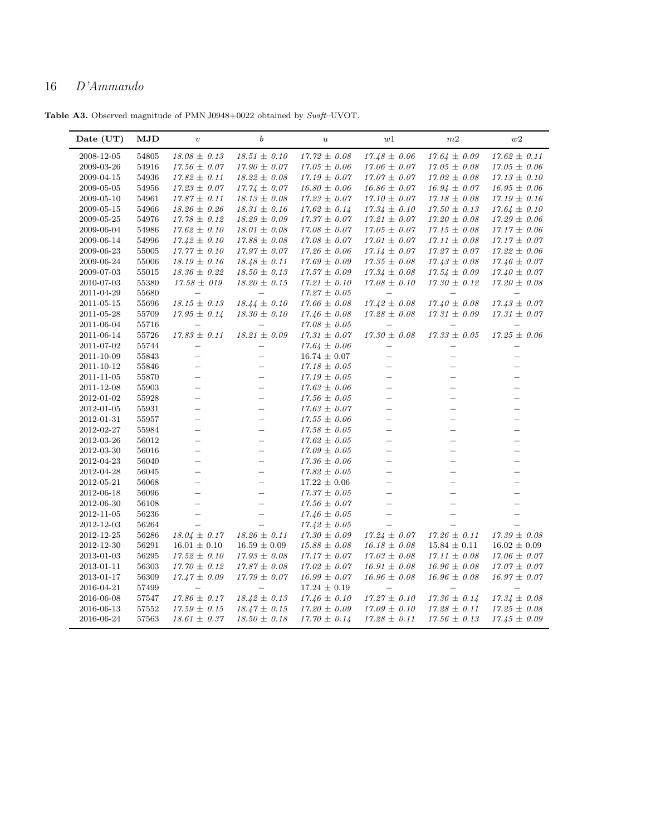Table A3. Observed magnitude of PMN J0948+0022 obtained by Swift–UVOT.

| Date (UT)                | $_{\rm MJD}$   | $\upsilon$                                    | $\boldsymbol{b}$              | $\boldsymbol{u}$                     | w1                       | m2                       | w2                                                   |
|--------------------------|----------------|-----------------------------------------------|-------------------------------|--------------------------------------|--------------------------|--------------------------|------------------------------------------------------|
| 2008-12-05               | 54805          | $18.08 \pm 0.13$                              | $18.51 \pm 0.10$              | $17.72 \pm 0.08$                     | $17.48 \pm 0.06$         | $17.64 \pm 0.09$         | $17.62 \pm 0.11$                                     |
| 2009-03-26               | 54916          | $17.56 \pm 0.07$                              | $17.90 \pm 0.07$              | $17.05 \pm 0.06$                     | $17.06 \pm 0.07$         | $17.05 \pm 0.08$         | $17.05 \pm 0.06$                                     |
| 2009-04-15               | 54936          | $17.82 \pm 0.11$                              | $18.22 \pm 0.08$              | $17.19 \pm 0.07$                     | $17.07 \pm 0.07$         | $17.02 \pm 0.08$         | $17.13 \pm 0.10$                                     |
| 2009-05-05               | 54956          | $17.23 \pm 0.07$                              | $17.74 \pm 0.07$              | $16.80 \pm 0.06$                     | $16.86 \pm 0.07$         | $16.94 \pm 0.07$         | $16.95 \pm 0.06$                                     |
| 2009-05-10               | 54961          | $17.87 \pm 0.11$                              | $18.13 \pm 0.08$              | $17.23 \pm 0.07$                     | $17.10 \pm 0.07$         | $17.18 \pm 0.08$         | $17.19 \pm 0.16$                                     |
| 2009-05-15               | 54966          | $18.26 \pm 0.26$                              | $18.31 \pm 0.16$              | $17.62 \pm 0.14$                     | $17.34 \pm 0.10$         | $17.50 \pm 0.13$         | $17.64 \pm 0.10$                                     |
| 2009-05-25               | 54976          | $17.78 \pm 0.12$                              | $18.29 \pm 0.09$              | $17.37 \pm 0.07$                     | $17.21 \pm 0.07$         | $17.20 \pm 0.08$         | $17.29 \pm 0.06$                                     |
| 2009-06-04               | 54986          | $17.62 \pm 0.10$                              | $18.01 \pm 0.08$              | $17.08 \pm 0.07$                     | $17.05 \pm 0.07$         | $17.15 \pm 0.08$         | $17.17 \pm 0.06$                                     |
| 2009-06-14               | 54996          | $17.42 \pm 0.10$                              | $17.88 \pm 0.08$              | $17.08 \pm 0.07$                     | $17.01 \pm 0.07$         | $17.11 \pm 0.08$         | $17.17 \pm 0.07$                                     |
| 2009-06-23               | 55005          | $17.77 \pm 0.10$                              | $17.97 \pm 0.07$              | $17.26 \pm 0.06$                     | $17.14 \pm 0.07$         | $17.27 \pm 0.07$         | $17.22 \pm 0.06$                                     |
| 2009-06-24               | 55006          | $18.19 \pm 0.16$                              | $18.48 \pm 0.11$              | $17.69 \pm 0.09$                     | $17.35 \pm 0.08$         | $17.43 \pm 0.08$         | $17.46 \pm 0.07$                                     |
| 2009-07-03               | 55015          | $18.36 \pm 0.22$                              | $18.50 \pm 0.13$              | $17.57 \pm 0.09$                     | $17.34 \pm 0.08$         | $17.54 \pm 0.09$         | $17.40 \pm 0.07$                                     |
| 2010-07-03               | 55380          | $17.58 \pm 019$                               | $18.20 \pm 0.15$              | $17.21 \pm 0.10$                     | $17.08 \pm 0.10$         | $17.30 \pm 0.12$         | $17.20 \pm 0.08$                                     |
| 2011-04-29               | 55680          | $\overline{\phantom{m}}$                      | $\overline{\phantom{0}}$      | $17.27 \pm 0.05$                     | $\overline{\phantom{0}}$ | $\qquad \qquad -$        | $\overline{\phantom{m}}$                             |
| 2011-05-15               | 55696          | $18.15 \pm 0.13$                              | $18.44 \pm 0.10$              | $17.66 \pm 0.08$                     | $17.42 \pm 0.08$         | $17.40 \pm 0.08$         | $17.43 \pm 0.07$                                     |
| 2011-05-28               | 55709          | $17.95 \pm 0.14$                              | $18.30 \pm 0.10$              | $17.46 \pm 0.08$                     | $17.28 \pm 0.08$         | $17.31 \pm 0.09$         | $17.31 \pm 0.07$                                     |
| 2011-06-04               | 55716          | $\qquad \qquad -$                             |                               | $17.08 \pm 0.05$                     |                          |                          | $\overline{\phantom{0}}$                             |
| 2011-06-14<br>2011-07-02 | 55726<br>55744 | $17.83 \pm 0.11$                              | $18.21 \pm 0.09$              | $17.31 \pm 0.07$                     | $17.30 \pm 0.08$         | $17.33 \pm 0.05$         | $17.25 \pm 0.06$                                     |
| 2011-10-09               | 55843          | $\overline{\phantom{0}}$<br>$\qquad \qquad -$ | —<br>$\overline{\phantom{0}}$ | $17.64 \pm 0.06$<br>$16.74 \pm 0.07$ |                          | $\overline{\phantom{0}}$ | $\overline{\phantom{0}}$<br>$\overline{\phantom{0}}$ |
| 2011-10-12               | 55846          | $\overline{\phantom{0}}$                      | $\qquad \qquad -$             | $17.18 \pm 0.05$                     |                          | $\overline{\phantom{0}}$ |                                                      |
| 2011-11-05               | 55870          |                                               |                               | $17.19 \pm 0.05$                     | $\qquad \qquad -$        | $\equiv$                 | $\qquad \qquad$                                      |
| 2011-12-08               | 55903          | $\overline{\phantom{0}}$                      | $\overline{\phantom{0}}$      | $17.63 \pm 0.06$                     | $\overline{\phantom{0}}$ |                          | $\overline{\phantom{0}}$                             |
| 2012-01-02               | 55928          | $\overline{\phantom{0}}$                      |                               | $17.56 \pm 0.05$                     | $\overline{\phantom{0}}$ |                          |                                                      |
| 2012-01-05               | 55931          | $\overline{\phantom{m}}$                      | $\qquad \qquad -$             | $17.63 \pm 0.07$                     | $\qquad \qquad -$        | $\equiv$                 | $\equiv$                                             |
| 2012-01-31               | 55957          | $\overline{\phantom{0}}$                      | $\qquad \qquad -$             | $17.55 \pm 0.06$                     |                          |                          |                                                      |
| 2012-02-27               | 55984          | $\qquad \qquad -$                             | $\overline{\phantom{0}}$      | $17.58 \pm 0.05$                     | $\overline{\phantom{0}}$ | $\overline{\phantom{0}}$ | $\qquad \qquad -$                                    |
| 2012-03-26               | 56012          |                                               | $\qquad \qquad -$             | $17.62 \pm 0.05$                     |                          |                          |                                                      |
| 2012-03-30               | 56016          | $\overline{\phantom{m}}$                      | $\overline{\phantom{m}}$      | $17.09 \pm 0.05$                     | $\qquad \qquad -$        | $\overline{\phantom{0}}$ | $\equiv$                                             |
| 2012-04-23               | 56040          | $\overline{\phantom{0}}$                      | $\qquad \qquad -$             | $17.36 \pm 0.06$                     | $\overline{\phantom{0}}$ | $\overline{\phantom{0}}$ | $\overline{\phantom{0}}$                             |
| 2012-04-28               | 56045          | $\overline{\phantom{0}}$                      | $\equiv$                      | $17.82 \pm 0.05$                     | $\equiv$                 | $\equiv$                 | $\overline{\phantom{0}}$                             |
| 2012-05-21               | 56068          |                                               |                               | $17.22 \pm 0.06$                     | —                        | $\overline{\phantom{0}}$ | $\overline{\phantom{0}}$                             |
| 2012-06-18               | 56096          | $\overline{\phantom{0}}$                      | $\equiv$                      | $17.37 \pm 0.05$                     |                          |                          |                                                      |
| 2012-06-30               | 56108          |                                               | —                             | $17.56\,\pm\,0.07$                   |                          |                          |                                                      |
| 2012-11-05               | 56236          |                                               | $\overline{\phantom{0}}$      | $17.46 \pm 0.05$                     |                          |                          |                                                      |
| 2012-12-03               | 56264          |                                               |                               | $17.42 \pm 0.05$                     |                          |                          |                                                      |
| 2012-12-25               | 56286          | $18.04 \pm 0.17$                              | $18.26 \pm 0.11$              | $17.30 \pm 0.09$                     | $17.24 \pm 0.07$         | $17.26 \pm 0.11$         | $17.39 \pm 0.08$                                     |
| 2012-12-30               | 56291          | $16.01 \pm 0.10$                              | $16.59 \pm 0.09$              | $15.88 \pm 0.08$                     | $16.18 \pm 0.08$         | $15.84 \pm 0.11$         | $16.02 \pm 0.09$                                     |
| 2013-01-03               | 56295          | $17.52 \pm 0.10$                              | $17.93 \pm 0.08$              | $17.17 \pm 0.07$                     | $17.03 \pm 0.08$         | $17.11 \pm 0.08$         | $17.06 \pm 0.07$                                     |
| 2013-01-11               | 56303          | $17.70 \pm 0.12$                              | $17.87 \pm 0.08$              | $17.02 \pm 0.07$                     | $16.91 \pm 0.08$         | $16.96 \pm 0.08$         | $17.07 \pm 0.07$                                     |
| 2013-01-17               | 56309          | $17.47 \pm 0.09$                              | $17.79\pm\,0.07$              | $16.99 \pm 0.07$                     | $16.96\,\pm\,0.08$       | $16.96\,\pm\,0.08$       | $16.97\pm\,0.07$                                     |
| 2016-04-21               | 57499          |                                               | $\qquad \qquad -$             | $17.24 \pm 0.19$                     | $\qquad \qquad -$        |                          |                                                      |
| 2016-06-08               | 57547          | $17.86 \pm 0.17$                              | $18.42 \pm 0.13$              | $17.46 \pm 0.10$                     | $17.27 \pm 0.10$         | $17.36 \pm 0.14$         | $17.34 \pm 0.08$                                     |
| 2016-06-13               | 57552          | $17.59 \pm 0.15$                              | $18.47 \pm 0.15$              | $17.20 \pm 0.09$                     | $17.09 \pm 0.10$         | $17.28 \pm 0.11$         | $17.25 \pm 0.08$                                     |
| 2016-06-24               | 57563          | $18.61 \pm 0.37$                              | $18.50 \pm 0.18$              | $17.70 \pm 0.14$                     | $17.28 \pm 0.11$         | $17.56 \pm 0.13$         | $17.45 \pm 0.09$                                     |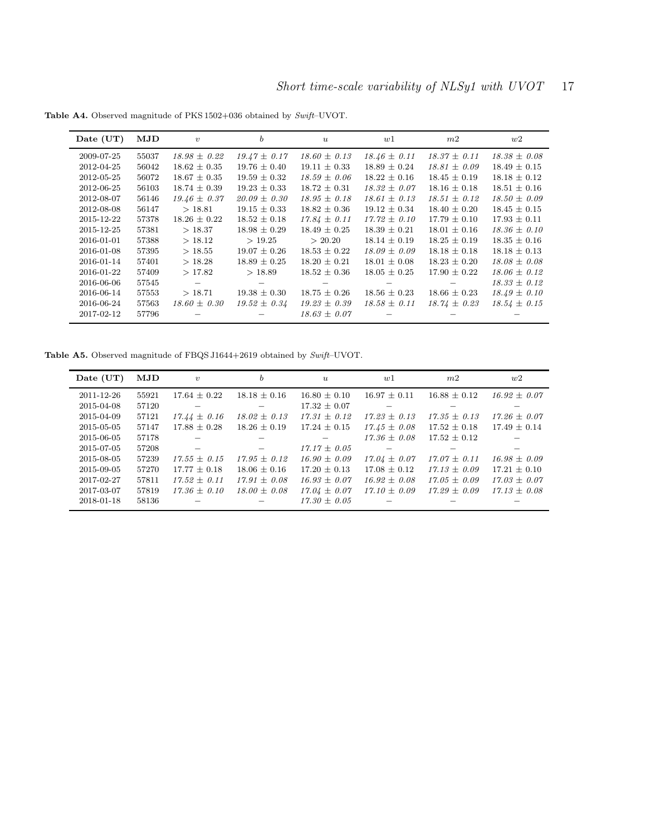| Date (UT)  | MJD   | $\boldsymbol{\eta}$      | b                | $\boldsymbol{u}$ | w1               | m <sub>2</sub>   | w2               |
|------------|-------|--------------------------|------------------|------------------|------------------|------------------|------------------|
| 2009-07-25 | 55037 | $18.98 \pm 0.22$         | $19.47 \pm 0.17$ | $18.60 \pm 0.13$ | $18.46 \pm 0.11$ | $18.37 \pm 0.11$ | $18.38 \pm 0.08$ |
| 2012-04-25 | 56042 | $18.62 \pm 0.35$         | $19.76 \pm 0.40$ | $19.11 \pm 0.33$ | $18.89 \pm 0.24$ | $18.81 \pm 0.09$ | $18.49 \pm 0.15$ |
| 2012-05-25 | 56072 | $18.67 \pm 0.35$         | $19.59 \pm 0.32$ | $18.59 \pm 0.06$ | $18.22 \pm 0.16$ | $18.45 \pm 0.19$ | $18.18 \pm 0.12$ |
| 2012-06-25 | 56103 | $18.74 \pm 0.39$         | $19.23 \pm 0.33$ | $18.72 \pm 0.31$ | $18.32 \pm 0.07$ | $18.16 \pm 0.18$ | $18.51 \pm 0.16$ |
| 2012-08-07 | 56146 | $19.46 \pm 0.37$         | $20.09 \pm 0.30$ | $18.95 \pm 0.18$ | $18.61 \pm 0.13$ | $18.51 \pm 0.12$ | $18.50 \pm 0.09$ |
| 2012-08-08 | 56147 | >18.81                   | $19.15 \pm 0.33$ | $18.82 \pm 0.36$ | $19.12 \pm 0.34$ | $18.40 \pm 0.20$ | $18.45 \pm 0.15$ |
| 2015-12-22 | 57378 | $18.26 \pm 0.22$         | $18.52 \pm 0.18$ | $17.84 \pm 0.11$ | $17.72 \pm 0.10$ | $17.79 \pm 0.10$ | $17.93 \pm 0.11$ |
| 2015-12-25 | 57381 | >18.37                   | $18.98 \pm 0.29$ | $18.49 \pm 0.25$ | $18.39 \pm 0.21$ | $18.01 \pm 0.16$ | $18.36 \pm 0.10$ |
| 2016-01-01 | 57388 | >18.12                   | >19.25           | > 20.20          | $18.14 \pm 0.19$ | $18.25 \pm 0.19$ | $18.35 \pm 0.16$ |
| 2016-01-08 | 57395 | >18.55                   | $19.07 \pm 0.26$ | $18.53 \pm 0.22$ | $18.09 \pm 0.09$ | $18.18 \pm 0.18$ | $18.18 \pm 0.13$ |
| 2016-01-14 | 57401 | >18.28                   | $18.89 \pm 0.25$ | $18.20 \pm 0.21$ | $18.01 \pm 0.08$ | $18.23 \pm 0.20$ | $18.08 \pm 0.08$ |
| 2016-01-22 | 57409 | >17.82                   | >18.89           | $18.52 \pm 0.36$ | $18.05 \pm 0.25$ | $17.90 \pm 0.22$ | $18.06 \pm 0.12$ |
| 2016-06-06 | 57545 | $\overline{\phantom{m}}$ |                  |                  |                  |                  | $18.33 \pm 0.12$ |
| 2016-06-14 | 57553 | >18.71                   | $19.38 \pm 0.30$ | $18.75 \pm 0.26$ | $18.56 \pm 0.23$ | $18.66 \pm 0.23$ | $18.49 \pm 0.10$ |
| 2016-06-24 | 57563 | $18.60 \pm 0.30$         | $19.52 \pm 0.34$ | $19.23 \pm 0.39$ | $18.58 \pm 0.11$ | $18.74 \pm 0.23$ | $18.54 \pm 0.15$ |
| 2017-02-12 | 57796 |                          |                  | $18.63 \pm 0.07$ |                  |                  |                  |

Table A4. Observed magnitude of PKS 1502+036 obtained by Swift–UVOT.

Table A5. Observed magnitude of FBQS J1644+2619 obtained by Swift–UVOT.

| Date (UT)  | $_{\rm MJD}$ | $\boldsymbol{v}$ | b                | $\boldsymbol{u}$ | w1               | m <sub>2</sub>   | w2               |
|------------|--------------|------------------|------------------|------------------|------------------|------------------|------------------|
| 2011-12-26 | 55921        | $17.64 + 0.22$   | $18.18 + 0.16$   | $16.80 \pm 0.10$ | $16.97 + 0.11$   | $16.88 \pm 0.12$ | $16.92 \pm 0.07$ |
| 2015-04-08 | 57120        |                  |                  | $17.32 \pm 0.07$ |                  |                  |                  |
| 2015-04-09 | 57121        | $17.44 \pm 0.16$ | $18.02 \pm 0.13$ | $17.31 \pm 0.12$ | $17.23 \pm 0.13$ | $17.35 \pm 0.13$ | $17.26 \pm 0.07$ |
| 2015-05-05 | 57147        | $17.88 + 0.28$   | $18.26 + 0.19$   | $17.24 + 0.15$   | $17.45 \pm 0.08$ | $17.52 \pm 0.18$ | $17.49 \pm 0.14$ |
| 2015-06-05 | 57178        |                  |                  |                  | $17.36 + 0.08$   | $17.52 + 0.12$   |                  |
| 2015-07-05 | 57208        |                  |                  | $17.17 \pm 0.05$ |                  |                  |                  |
| 2015-08-05 | 57239        | $17.55 + 0.15$   | $17.95 + 0.12$   | $16.90 \pm 0.09$ | $17.04 \pm 0.07$ | $17.07 \pm 0.11$ | $16.98 \pm 0.09$ |
| 2015-09-05 | 57270        | $17.77 \pm 0.18$ | $18.06 + 0.16$   | $17.20 + 0.13$   | $17.08 \pm 0.12$ | $17.13 \pm 0.09$ | $17.21 \pm 0.10$ |
| 2017-02-27 | 57811        | $17.52 + 0.11$   | $17.91 + 0.08$   | $16.93 + 0.07$   | $16.92 + 0.08$   | $17.05 + 0.09$   | $17.03 + 0.07$   |
| 2017-03-07 | 57819        | $17.36 + 0.10$   | $18.00 + 0.08$   | $17.04 \pm 0.07$ | $17.10 + 0.09$   | $17.29 + 0.09$   | $17.13 \pm 0.08$ |
| 2018-01-18 | 58136        |                  |                  | $17.30 \pm 0.05$ |                  |                  |                  |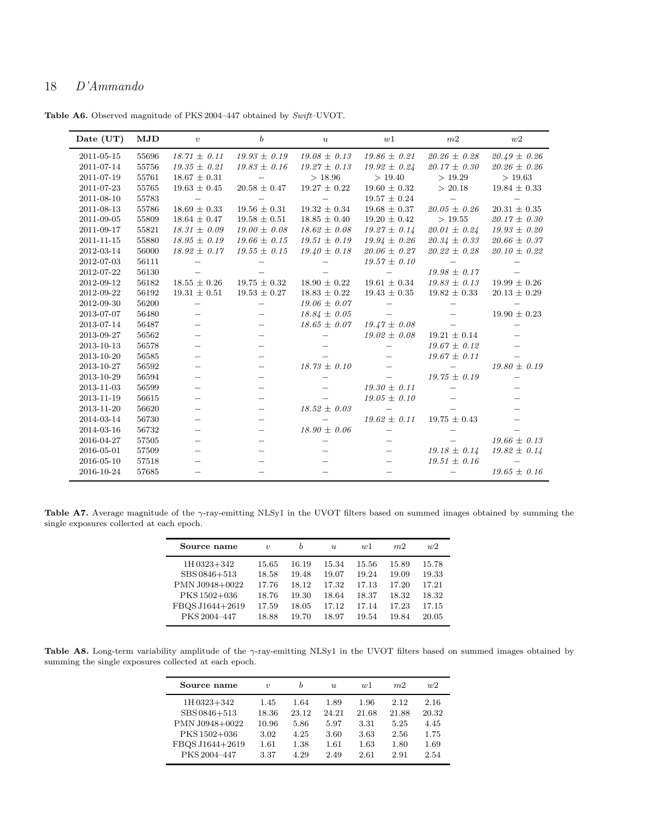<span id="page-17-2"></span>

| Date (UT)  | MJD   | $\boldsymbol{v}$         | b                        | $\boldsymbol{u}$ | w1               | m <sub>2</sub>           | w2               |
|------------|-------|--------------------------|--------------------------|------------------|------------------|--------------------------|------------------|
| 2011-05-15 | 55696 | $18.71 \pm 0.11$         | $19.93 \pm 0.19$         | $19.08 \pm 0.13$ | $19.86 \pm 0.21$ | $20.26 \pm 0.28$         | $20.49 \pm 0.26$ |
| 2011-07-14 | 55756 | $19.35 \pm 0.21$         | $19.83 \pm 0.16$         | $19.27 \pm 0.13$ | $19.92 \pm 0.24$ | $20.17 \pm 0.30$         | $20.26 \pm 0.26$ |
| 2011-07-19 | 55761 | $18.67 \pm 0.31$         |                          | >18.96           | > 19.40          | >19.29                   | >19.63           |
| 2011-07-23 | 55765 | $19.63 \pm 0.45$         | $20.58 \pm 0.47$         | $19.27 \pm 0.22$ | $19.60 \pm 0.32$ | > 20.18                  | $19.84 \pm 0.33$ |
| 2011-08-10 | 55783 | $\overline{\phantom{m}}$ |                          |                  | $19.57 \pm 0.24$ | $\overline{\phantom{m}}$ |                  |
| 2011-08-13 | 55786 | $18.69 \pm 0.33$         | $19.56 \pm 0.31$         | $19.32 \pm 0.34$ | $19.68 \pm 0.37$ | $20.05 \pm 0.26$         | $20.31 \pm 0.35$ |
| 2011-09-05 | 55809 | $18.64 \pm 0.47$         | $19.58 \pm 0.51$         | $18.85 \pm 0.40$ | $19.20 \pm 0.42$ | >19.55                   | $20.17 \pm 0.30$ |
| 2011-09-17 | 55821 | $18.31 \pm 0.09$         | $19.00 \pm 0.08$         | $18.62 \pm 0.08$ | $19.27 \pm 0.14$ | $20.01 \pm 0.24$         | $19.93 \pm 0.20$ |
| 2011-11-15 | 55880 | $18.95 \pm 0.19$         | $19.66 \pm 0.15$         | $19.51 \pm 0.19$ | $19.94 \pm 0.26$ | $20.34 \pm 0.33$         | $20.66 \pm 0.37$ |
| 2012-03-14 | 56000 | $18.92 \pm 0.17$         | $19.55 \pm 0.15$         | $19.40 \pm 0.18$ | $20.06 \pm 0.27$ | $20.22 \pm 0.28$         | $20.10 \pm 0.22$ |
| 2012-07-03 | 56111 |                          |                          |                  | $19.57 \pm 0.10$ | $\overline{\phantom{m}}$ |                  |
| 2012-07-22 | 56130 |                          |                          |                  |                  | $19.98 \pm 0.17$         |                  |
| 2012-09-12 | 56182 | $18.55 \pm 0.26$         | $19.75 \pm 0.32$         | $18.90 \pm 0.22$ | $19.61 \pm 0.34$ | $19.83 \pm 0.13$         | $19.99 \pm 0.26$ |
| 2012-09-22 | 56192 | $19.31 \pm 0.51$         | $19.53 \pm 0.27$         | $18.83 \pm 0.22$ | $19.43 \pm 0.35$ | $19.82 \pm 0.33$         | $20.13 \pm 0.29$ |
| 2012-09-30 | 56200 | $\qquad \qquad$          |                          | $19.06 \pm 0.07$ |                  |                          |                  |
| 2013-07-07 | 56480 |                          |                          | $18.84 \pm 0.05$ |                  |                          | $19.90 \pm 0.23$ |
| 2013-07-14 | 56487 |                          |                          | $18.65 \pm 0.07$ | $19.47 \pm 0.08$ |                          |                  |
| 2013-09-27 | 56562 |                          | $\overline{\phantom{0}}$ |                  | $19.02 \pm 0.08$ | $19.21 \pm 0.14$         |                  |
| 2013-10-13 | 56578 | $\overline{\phantom{0}}$ | $\equiv$                 |                  |                  | $19.67 \pm 0.12$         |                  |
| 2013-10-20 | 56585 |                          | $\qquad \qquad -$        |                  |                  | $19.67 \pm 0.11$         |                  |
| 2013-10-27 | 56592 |                          |                          | $18.73 \pm 0.10$ |                  |                          | $19.80 \pm 0.19$ |
| 2013-10-29 | 56594 | $\overline{\phantom{0}}$ | $\overline{\phantom{0}}$ |                  |                  | $19.75 \pm 0.19$         |                  |
| 2013-11-03 | 56599 |                          |                          |                  | $19.30 \pm 0.11$ |                          |                  |
| 2013-11-19 | 56615 |                          |                          |                  | $19.05 \pm 0.10$ |                          |                  |
| 2013-11-20 | 56620 |                          | $\qquad \qquad -$        | $18.52 \pm 0.03$ |                  |                          |                  |
| 2014-03-14 | 56730 | $\overline{\phantom{0}}$ | $\overline{\phantom{0}}$ |                  | $19.62 \pm 0.11$ | $19.75 \pm 0.43$         |                  |
| 2014-03-16 | 56732 | $\overline{\phantom{0}}$ | $\overline{\phantom{0}}$ | $18.90 \pm 0.06$ |                  |                          |                  |
| 2016-04-27 | 57505 |                          |                          |                  |                  |                          | $19.66 \pm 0.13$ |
| 2016-05-01 | 57509 |                          |                          |                  |                  | $19.18 \pm 0.14$         | $19.82 \pm 0.14$ |
| 2016-05-10 | 57518 |                          |                          |                  |                  | $19.51 \pm 0.16$         |                  |
| 2016-10-24 | 57685 |                          |                          |                  |                  |                          | $19.65 \pm 0.16$ |

Table A6. Observed magnitude of PKS 2004–447 obtained by Swift–UVOT.

<span id="page-17-1"></span>Table A7. Average magnitude of the γ-ray-emitting NLSy1 in the UVOT filters based on summed images obtained by summing the single exposures collected at each epoch.

| Source name     | $\eta$ | h     | $\mathfrak{u}$ | $\overline{u}$ | m2    | w2    |
|-----------------|--------|-------|----------------|----------------|-------|-------|
| 1H 0323+342     | 15.65  | 16.19 | 15.34          | 15.56          | 15.89 | 15.78 |
| SBS 0846+513    | 18.58  | 19.48 | 19.07          | 19.24          | 19.09 | 19.33 |
| PMN J0948+0022  | 17.76  | 18.12 | 17.32          | 17.13          | 17.20 | 17.21 |
| PKS 1502+036    | 18.76  | 19.30 | 18.64          | 18.37          | 18.32 | 18.32 |
| FBQS J1644+2619 | 17.59  | 18.05 | 17.12          | 17.14          | 17.23 | 17.15 |
| PKS 2004-447    | 18.88  | 19.70 | 18.97          | 19.54          | 19.84 | 20.05 |

<span id="page-17-0"></span>Table A8. Long-term variability amplitude of the  $\gamma$ -ray-emitting NLSy1 in the UVOT filters based on summed images obtained by summing the single exposures collected at each epoch.

| Source name     | $\boldsymbol{\eta}$ | h     | $\mathfrak{u}$ | $\overline{u}$ | m <sub>2</sub> | w2    |
|-----------------|---------------------|-------|----------------|----------------|----------------|-------|
| 1H 0323+342     | 1.45                | 1.64  | 1.89           | 1.96           | 2.12           | 2.16  |
| SBS 0846+513    | 18.36               | 23.12 | 24.21          | 21.68          | 21.88          | 20.32 |
| PMN J0948+0022  | 10.96               | 5.86  | 5.97           | 3.31           | 5.25           | 4.45  |
| PKS 1502+036    | 3.02                | 4.25  | 3.60           | 3.63           | 2.56           | 1.75  |
| FBQS J1644+2619 | 1.61                | 1.38  | 1.61           | 1.63           | 1.80           | 1.69  |
| PKS 2004-447    | 3.37                | 4.29  | 2.49           | 2.61           | 2.91           | 2.54  |